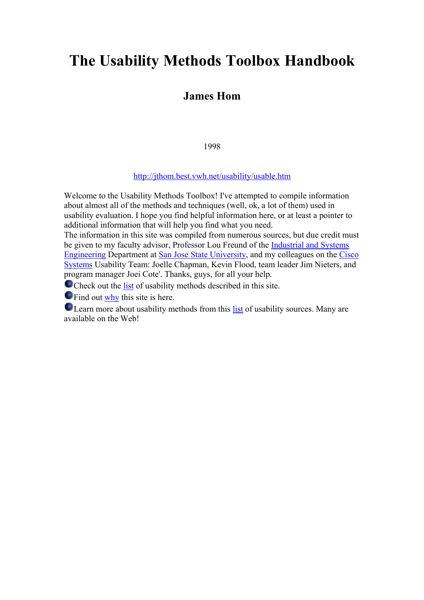# **The Usability Methods Toolbox Handbook**

## **James Hom**

1998

<http://jthom.best.vwh.net/usability/usable.htm>

Welcome to the Usability Methods Toolbox! I've attempted to compile information about almost all of the methods and techniques (well, ok, a lot of them) used in usability evaluation. I hope you find helpful information here, or at least a pointer to additional information that will help you find what you need.

The information in this site was compiled from numerous sources, but due credit must be given to my faculty advisor, Professor Lou Freund of the [Industrial and Systems](http://www-engr.sjsu.edu/iseng)  [Engineering](http://www-engr.sjsu.edu/iseng) Department at [San Jose State University](http://www.sjsu.edu/), and my colleagues on the [Cisco](http://www.cisco.com/)  [Systems](http://www.cisco.com/) Usability Team: Joelle Chapman, Kevin Flood, team leader Jim Nieters, and program manager Joei Cote'. Thanks, guys, for all your help.

Check out the [list](http://jthom.best.vwh.net/usability/toc.htm) of usability methods described in this site.

**O** Find out [why](http://jthom.best.vwh.net/usability/school.htm) this site is here.

**OLEARED EXECUTE:** Learn more about usability methods from this [list](http://jthom.best.vwh.net/usability/biblio.htm) of usability sources. Many are available on the Web!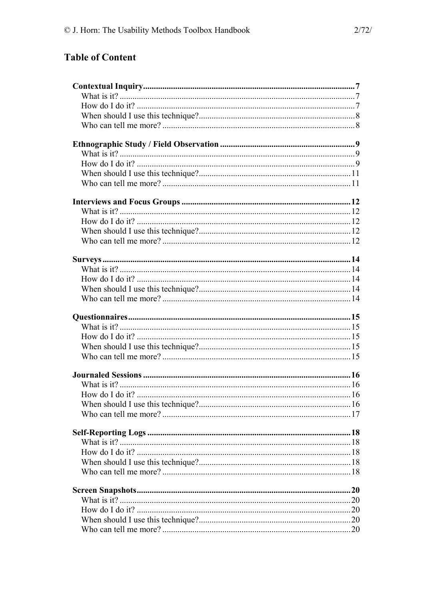# **Table of Content**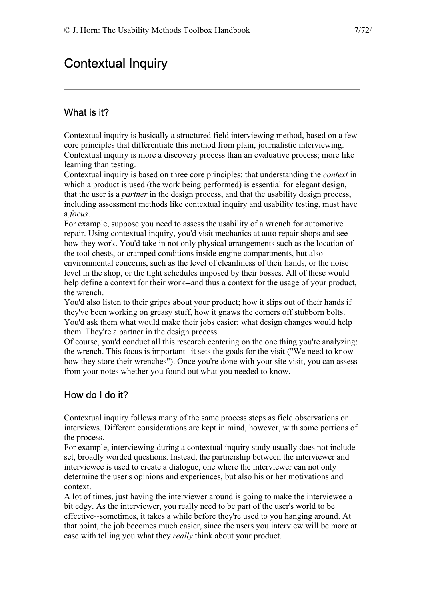# <span id="page-6-0"></span>Contextual Inquiry

## What is it?

Contextual inquiry is basically a structured field interviewing method, based on a few core principles that differentiate this method from plain, journalistic interviewing. Contextual inquiry is more a discovery process than an evaluative process; more like learning than testing.

Contextual inquiry is based on three core principles: that understanding the *context* in which a product is used (the work being performed) is essential for elegant design, that the user is a *partner* in the design process, and that the usability design process, including assessment methods like contextual inquiry and usability testing, must have a *focus*.

For example, suppose you need to assess the usability of a wrench for automotive repair. Using contextual inquiry, you'd visit mechanics at auto repair shops and see how they work. You'd take in not only physical arrangements such as the location of the tool chests, or cramped conditions inside engine compartments, but also environmental concerns, such as the level of cleanliness of their hands, or the noise level in the shop, or the tight schedules imposed by their bosses. All of these would help define a context for their work--and thus a context for the usage of your product, the wrench.

You'd also listen to their gripes about your product; how it slips out of their hands if they've been working on greasy stuff, how it gnaws the corners off stubborn bolts. You'd ask them what would make their jobs easier; what design changes would help them. They're a partner in the design process.

Of course, you'd conduct all this research centering on the one thing you're analyzing: the wrench. This focus is important--it sets the goals for the visit ("We need to know how they store their wrenches"). Once you're done with your site visit, you can assess from your notes whether you found out what you needed to know.

## How do I do it?

Contextual inquiry follows many of the same process steps as field observations or interviews. Different considerations are kept in mind, however, with some portions of the process.

For example, interviewing during a contextual inquiry study usually does not include set, broadly worded questions. Instead, the partnership between the interviewer and interviewee is used to create a dialogue, one where the interviewer can not only determine the user's opinions and experiences, but also his or her motivations and context.

A lot of times, just having the interviewer around is going to make the interviewee a bit edgy. As the interviewer, you really need to be part of the user's world to be effective--sometimes, it takes a while before they're used to you hanging around. At that point, the job becomes much easier, since the users you interview will be more at ease with telling you what they *really* think about your product.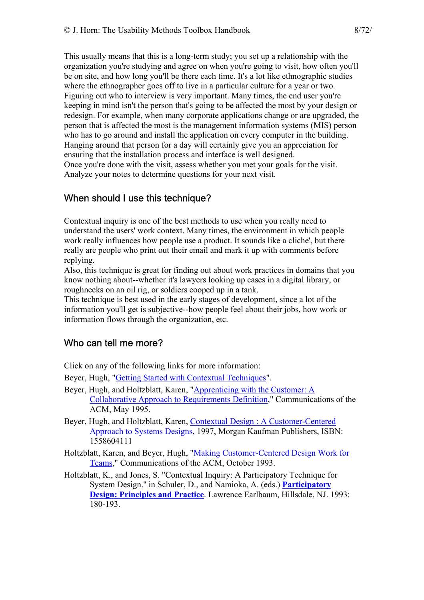<span id="page-7-0"></span>This usually means that this is a long-term study; you set up a relationship with the organization you're studying and agree on when you're going to visit, how often you'll be on site, and how long you'll be there each time. It's a lot like ethnographic studies where the ethnographer goes off to live in a particular culture for a year or two. Figuring out who to interview is very important. Many times, the end user you're keeping in mind isn't the person that's going to be affected the most by your design or redesign. For example, when many corporate applications change or are upgraded, the person that is affected the most is the management information systems (MIS) person who has to go around and install the application on every computer in the building. Hanging around that person for a day will certainly give you an appreciation for ensuring that the installation process and interface is well designed. Once you're done with the visit, assess whether you met your goals for the visit. Analyze your notes to determine questions for your next visit.

## When should I use this technique?

Contextual inquiry is one of the best methods to use when you really need to understand the users' work context. Many times, the environment in which people work really influences how people use a product. It sounds like a cliche', but there really are people who print out their email and mark it up with comments before replying.

Also, this technique is great for finding out about work practices in domains that you know nothing about--whether it's lawyers looking up cases in a digital library, or roughnecks on an oil rig, or soldiers cooped up in a tank.

This technique is best used in the early stages of development, since a lot of the information you'll get is subjective--how people feel about their jobs, how work or information flows through the organization, etc.

### Who can tell me more?

Click on any of the following links for more information:

Beyer, Hugh, ["Getting Started with Contextual Techniques](http://www.incent.com/connection.indx/techniques.html)".

- Beyer, Hugh, and Holtzblatt, Karen, "[Apprenticing with the Customer: A](http://www.incent.com/papers.indx/requirements.html)  [Collaborative Approach to Requirements Definition,](http://www.incent.com/papers.indx/requirements.html)" Communications of the ACM, May 1995.
- Beyer, Hugh, and Holtzblatt, Karen, [Contextual Design : A Customer-Centered](http://www.amazon.com/exec/obidos/ASIN/1558604111/theusabilitymeth)  [Approach to Systems Designs](http://www.amazon.com/exec/obidos/ASIN/1558604111/theusabilitymeth), 1997, Morgan Kaufman Publishers, ISBN: 1558604111
- Holtzblatt, Karen, and Beyer, Hugh, "[Making Customer-Centered Design Work for](http://www.incent.com/papers.indx/Customer_Des_Teams.html)  [Teams,](http://www.incent.com/papers.indx/Customer_Des_Teams.html)" Communications of the ACM, October 1993.
- Holtzblatt, K., and Jones, S. "Contextual Inquiry: A Participatory Technique for System Design.'' in Schuler, D., and Namioka, A. (eds.) **[Participatory](http://www.amazon.com/exec/obidos/ASIN/0805809511/theusabilitymeth)  [Design: Principles and Practice](http://www.amazon.com/exec/obidos/ASIN/0805809511/theusabilitymeth)**. Lawrence Earlbaum, Hillsdale, NJ. 1993: 180-193.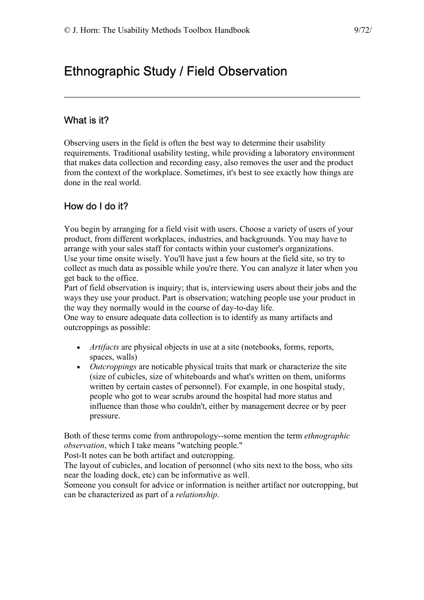# <span id="page-8-0"></span>Ethnographic Study / Field Observation

## What is it?

Observing users in the field is often the best way to determine their usability requirements. Traditional usability testing, while providing a laboratory environment that makes data collection and recording easy, also removes the user and the product from the context of the workplace. Sometimes, it's best to see exactly how things are done in the real world.

# How do I do it?

You begin by arranging for a field visit with users. Choose a variety of users of your product, from different workplaces, industries, and backgrounds. You may have to arrange with your sales staff for contacts within your customer's organizations. Use your time onsite wisely. You'll have just a few hours at the field site, so try to collect as much data as possible while you're there. You can analyze it later when you get back to the office.

Part of field observation is inquiry; that is, interviewing users about their jobs and the ways they use your product. Part is observation; watching people use your product in the way they normally would in the course of day-to-day life.

One way to ensure adequate data collection is to identify as many artifacts and outcroppings as possible:

- *Artifacts* are physical objects in use at a site (notebooks, forms, reports, spaces, walls)
- *Outcroppings* are noticable physical traits that mark or characterize the site (size of cubicles, size of whiteboards and what's written on them, uniforms written by certain castes of personnel). For example, in one hospital study, people who got to wear scrubs around the hospital had more status and influence than those who couldn't, either by management decree or by peer pressure.

Both of these terms come from anthropology--some mention the term *ethnographic observation*, which I take means "watching people."

Post-It notes can be both artifact and outcropping.

The layout of cubicles, and location of personnel (who sits next to the boss, who sits near the loading dock, etc) can be informative as well.

Someone you consult for advice or information is neither artifact nor outcropping, but can be characterized as part of a *relationship*.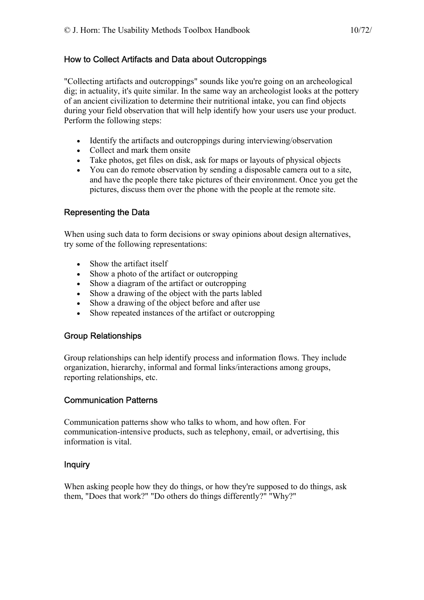#### How to Collect Artifacts and Data about Outcroppings

"Collecting artifacts and outcroppings" sounds like you're going on an archeological dig; in actuality, it's quite similar. In the same way an archeologist looks at the pottery of an ancient civilization to determine their nutritional intake, you can find objects during your field observation that will help identify how your users use your product. Perform the following steps:

- Identify the artifacts and outcroppings during interviewing/observation
- Collect and mark them onsite
- Take photos, get files on disk, ask for maps or layouts of physical objects
- You can do remote observation by sending a disposable camera out to a site, and have the people there take pictures of their environment. Once you get the pictures, discuss them over the phone with the people at the remote site.

#### Representing the Data

When using such data to form decisions or sway opinions about design alternatives, try some of the following representations:

- Show the artifact itself
- Show a photo of the artifact or outcropping
- Show a diagram of the artifact or outcropping
- Show a drawing of the object with the parts labled
- Show a drawing of the object before and after use
- Show repeated instances of the artifact or outcropping

#### Group Relationships

Group relationships can help identify process and information flows. They include organization, hierarchy, informal and formal links/interactions among groups, reporting relationships, etc.

### Communication Patterns

Communication patterns show who talks to whom, and how often. For communication-intensive products, such as telephony, email, or advertising, this information is vital.

#### Inquiry

When asking people how they do things, or how they're supposed to do things, ask them, "Does that work?" "Do others do things differently?" "Why?"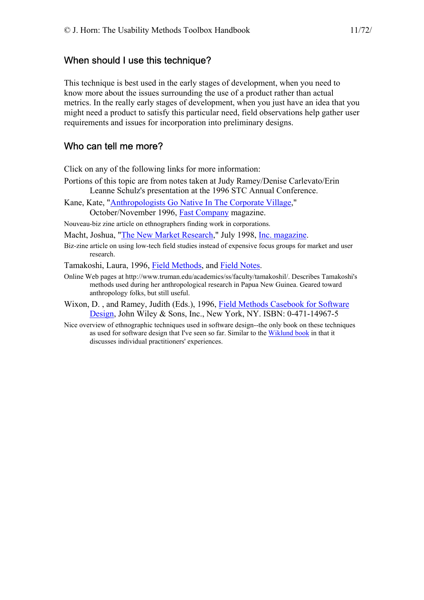#### <span id="page-10-0"></span>When should I use this technique?

This technique is best used in the early stages of development, when you need to know more about the issues surrounding the use of a product rather than actual metrics. In the really early stages of development, when you just have an idea that you might need a product to satisfy this particular need, field observations help gather user requirements and issues for incorporation into preliminary designs.

#### Who can tell me more?

Click on any of the following links for more information:

- Portions of this topic are from notes taken at Judy Ramey/Denise Carlevato/Erin Leanne Schulz's presentation at the 1996 STC Annual Conference.
- Kane, Kate, "[Anthropologists Go Native In The Corporate Village,](http://www.fastcompany.com/online/05/anthro.html)"

October/November 1996, [Fast Company](http://www.fastcompany.com/) magazine.

Nouveau-biz zine article on ethnographers finding work in corporations.

Macht, Joshua, ["The New Market Research](http://www.inc.com/incmagazine/archives/07980861.html)," July 1998, [Inc. magazine](http://www.inc.com/).

Biz-zine article on using low-tech field studies instead of expensive focus groups for market and user research.

Tamakoshi, Laura, 1996, [Field Methods,](http://www.truman.edu/academics/ss/faculty/tamakoshil/methods.html) and [Field Notes.](http://www.truman.edu/academics/ss/faculty/tamakoshil/notes.html)

- Online Web pages at http://www.truman.edu/academics/ss/faculty/tamakoshil/. Describes Tamakoshi's methods used during her anthropological research in Papua New Guinea. Geared toward anthropology folks, but still useful.
- Wixon, D. , and Ramey, Judith (Eds.), 1996, [Field Methods Casebook for Software](http://www.amazon.com/exec/obidos/ASIN/0471149675/theusabilitymeth)  [Design,](http://www.amazon.com/exec/obidos/ASIN/0471149675/theusabilitymeth) John Wiley & Sons, Inc., New York, NY. ISBN: 0-471-14967-5
- Nice overview of ethnographic techniques used in software design--the only book on these techniques as used for software design that I've seen so far. Similar to the [Wiklund book](http://jthom.best.vwh.net/usability/) in that it discusses individual practitioners' experiences.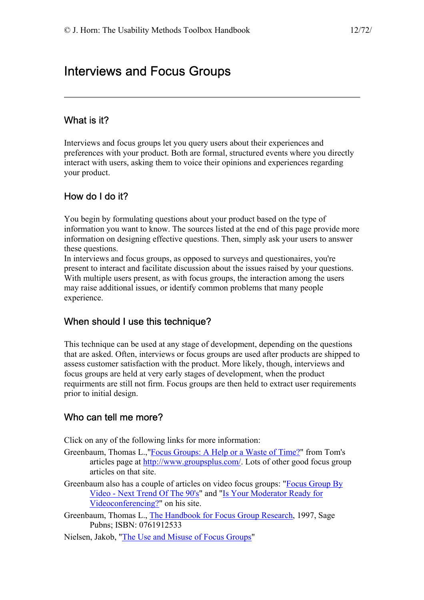# <span id="page-11-0"></span>Interviews and Focus Groups

## What is it?

Interviews and focus groups let you query users about their experiences and preferences with your product. Both are formal, structured events where you directly interact with users, asking them to voice their opinions and experiences regarding your product.

# How do I do it?

You begin by formulating questions about your product based on the type of information you want to know. The sources listed at the end of this page provide more information on designing effective questions. Then, simply ask your users to answer these questions.

In interviews and focus groups, as opposed to surveys and questionaires, you're present to interact and facilitate discussion about the issues raised by your questions. With multiple users present, as with focus groups, the interaction among the users may raise additional issues, or identify common problems that many people experience.

## When should I use this technique?

This technique can be used at any stage of development, depending on the questions that are asked. Often, interviews or focus groups are used after products are shipped to assess customer satisfaction with the product. More likely, though, interviews and focus groups are held at very early stages of development, when the product requirments are still not firm. Focus groups are then held to extract user requirements prior to initial design.

## Who can tell me more?

Click on any of the following links for more information:

- Greenbaum, Thomas L.,"[Focus Groups: A Help or a Waste of Time?](http://www.groupsplus.com/pmt0797.htm)" from Tom's articles page at <http://www.groupsplus.com/>. Lots of other good focus group articles on that site.
- Greenbaum also has a couple of articles on video focus groups: "[Focus Group By](http://www.groupsplus.com/pmt0797.htm)  [Video - Next Trend Of The 90's](http://www.groupsplus.com/pmt0797.htm)" and ["Is Your Moderator Ready for](http://www.groupsplus.com/modready.htm)  [Videoconferencing?](http://www.groupsplus.com/modready.htm)" on his site.
- Greenbaum, Thomas L., [The Handbook for Focus Group Research,](http://www.amazon.com/exec/obidos/ASIN/0761912533/theusabilitymeth/) 1997, Sage Pubns; ISBN: 0761912533
- Nielsen, Jakob, ["The Use and Misuse of Focus Groups"](http://www.useit.com/papers/focusgroups.html)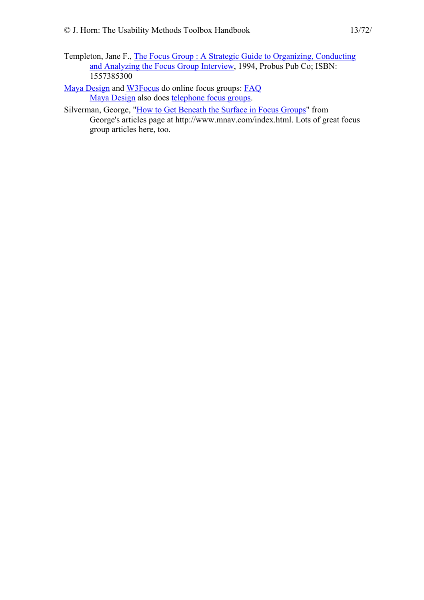Templeton, Jane F., [The Focus Group : A Strategic Guide to Organizing, Conducting](http://www.amazon.com/exec/obidos/ASIN/1557385300/theusabilitymeth/)  [and Analyzing the Focus Group Interview](http://www.amazon.com/exec/obidos/ASIN/1557385300/theusabilitymeth/), 1994, Probus Pub Co; ISBN: 1557385300

[Maya Design](http://www.maya-group.com/) and [W3Focus](http://www.w3focus.com/) do online focus groups: FAQ [Maya Design](http://www.maya-group.com/) also does [telephone focus groups.](http://www.maya-group.com/tele.html)

Silverman, George, ["How to Get Beneath the Surface in Focus Groups](http://www.mnav.com/bensurf.htm)" from George's articles page at http://www.mnav.com/index.html. Lots of great focus group articles here, too.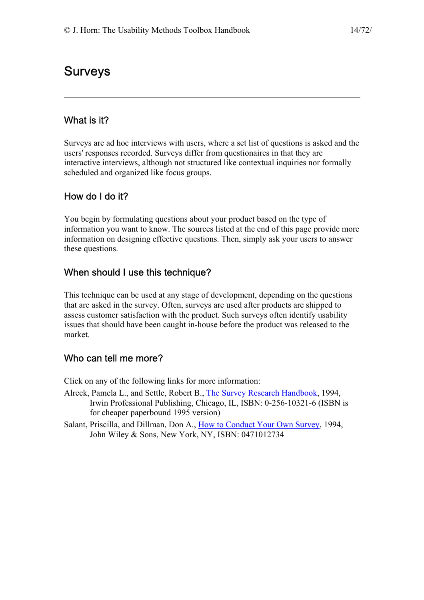# <span id="page-13-0"></span>Surveys

## What is it?

Surveys are ad hoc interviews with users, where a set list of questions is asked and the users' responses recorded. Surveys differ from questionaires in that they are interactive interviews, although not structured like contextual inquiries nor formally scheduled and organized like focus groups.

# How do I do it?

You begin by formulating questions about your product based on the type of information you want to know. The sources listed at the end of this page provide more information on designing effective questions. Then, simply ask your users to answer these questions.

## When should I use this technique?

This technique can be used at any stage of development, depending on the questions that are asked in the survey. Often, surveys are used after products are shipped to assess customer satisfaction with the product. Such surveys often identify usability issues that should have been caught in-house before the product was released to the market.

## Who can tell me more?

Click on any of the following links for more information:

- Alreck, Pamela L., and Settle, Robert B., [The Survey Research Handbook](http://www.amazon.com/exec/obidos/ASIN/0786303581/theusabilitymeth), 1994, Irwin Professional Publishing, Chicago, IL, ISBN: 0-256-10321-6 (ISBN is for cheaper paperbound 1995 version)
- Salant, Priscilla, and Dillman, Don A., [How to Conduct Your Own Survey](http://www.amazon.com/exec/obidos/ASIN/0471012734/theusabilitymeth), 1994, John Wiley & Sons, New York, NY, ISBN: 0471012734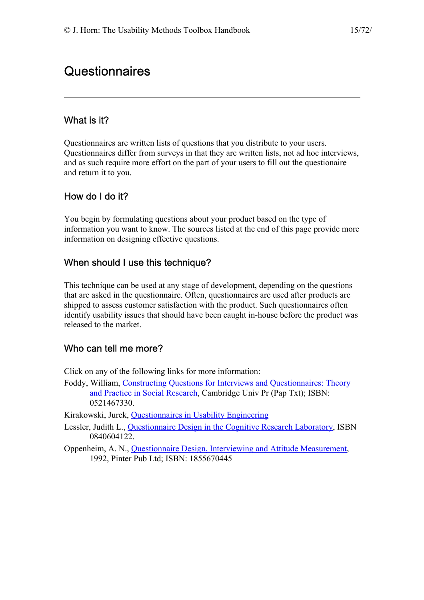# <span id="page-14-0"></span>**Questionnaires**

## What is it?

Questionnaires are written lists of questions that you distribute to your users. Questionnaires differ from surveys in that they are written lists, not ad hoc interviews, and as such require more effort on the part of your users to fill out the questionaire and return it to you.

# How do I do it?

You begin by formulating questions about your product based on the type of information you want to know. The sources listed at the end of this page provide more information on designing effective questions.

## When should I use this technique?

This technique can be used at any stage of development, depending on the questions that are asked in the questionnaire. Often, questionnaires are used after products are shipped to assess customer satisfaction with the product. Such questionnaires often identify usability issues that should have been caught in-house before the product was released to the market.

## Who can tell me more?

Click on any of the following links for more information:

Foddy, William, [Constructing Questions for Interviews and Questionnaires: Theory](http://www.amazon.com/exec/obidos/ASIN/0521467330/theusabilitymeth)  [and Practice in Social Research](http://www.amazon.com/exec/obidos/ASIN/0521467330/theusabilitymeth), Cambridge Univ Pr (Pap Txt); ISBN: 0521467330.

Kirakowski, Jurek, [Questionnaires in Usability Engineering](http://www.ucc.ie/hfrg/resources/qfaq1.html) 

- Lessler, Judith L., [Questionnaire Design in the Cognitive Research Laboratory](http://www.amazon.com/exec/obidos/ASIN/0840604122/theusabilitymeth), ISBN 0840604122.
- Oppenheim, A. N., [Questionnaire Design, Interviewing and Attitude Measurement,](http://www.amazon.com/exec/obidos/ASIN/1855670445/theusabilitymeth) 1992, Pinter Pub Ltd; ISBN: 1855670445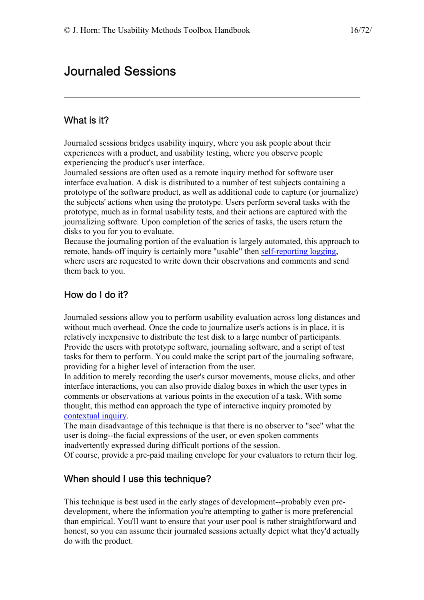# <span id="page-15-0"></span>Journaled Sessions

## What is it?

Journaled sessions bridges usability inquiry, where you ask people about their experiences with a product, and usability testing, where you observe people experiencing the product's user interface.

Journaled sessions are often used as a remote inquiry method for software user interface evaluation. A disk is distributed to a number of test subjects containing a prototype of the software product, as well as additional code to capture (or journalize) the subjects' actions when using the prototype. Users perform several tasks with the prototype, much as in formal usability tests, and their actions are captured with the journalizing software. Upon completion of the series of tasks, the users return the disks to you for you to evaluate.

Because the journaling portion of the evaluation is largely automated, this approach to remote, hands-off inquiry is certainly more "usable" then [self-reporting logging,](http://jthom.best.vwh.net/usability/selfrept.htm) where users are requested to write down their observations and comments and send them back to you.

## How do I do it?

Journaled sessions allow you to perform usability evaluation across long distances and without much overhead. Once the code to journalize user's actions is in place, it is relatively inexpensive to distribute the test disk to a large number of participants. Provide the users with prototype software, journaling software, and a script of test tasks for them to perform. You could make the script part of the journaling software, providing for a higher level of interaction from the user.

In addition to merely recording the user's cursor movements, mouse clicks, and other interface interactions, you can also provide dialog boxes in which the user types in comments or observations at various points in the execution of a task. With some thought, this method can approach the type of interactive inquiry promoted by [contextual inquiry.](http://jthom.best.vwh.net/usability/context.htm)

The main disadvantage of this technique is that there is no observer to "see" what the user is doing--the facial expressions of the user, or even spoken comments inadvertently expressed during difficult portions of the session.

Of course, provide a pre-paid mailing envelope for your evaluators to return their log.

### When should I use this technique?

This technique is best used in the early stages of development--probably even predevelopment, where the information you're attempting to gather is more preferencial than empirical. You'll want to ensure that your user pool is rather straightforward and honest, so you can assume their journaled sessions actually depict what they'd actually do with the product.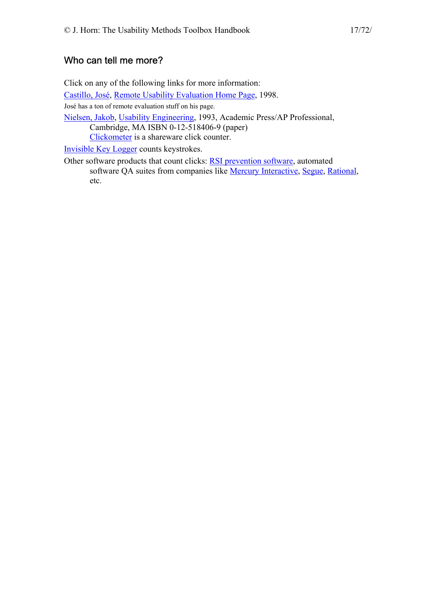## <span id="page-16-0"></span>Who can tell me more?

Click on any of the following links for more information: [Castillo, José,](mailto:jxcast2@uswest.com) [Remote Usability Evaluation Home Page,](http://hci.ise.vt.edu/~josec/remote_eval/index.html) 1998. José has a ton of remote evaluation stuff on his page. [Nielsen, Jakob,](http://www.sun.com/columns/jakob/) [Usability Engineering](http://www.amazon.com/exec/obidos/ASIN/0125184069/theusabilitymeth), 1993, Academic Press/AP Professional, Cambridge, MA ISBN 0-12-518406-9 (paper) [Clickometer](ftp://ftp.ark.com/pub/home/win/foodrink/clkmtr11.zip) is a shareware click counter. [Invisible Key Logger](http://www.amecisco.com/iks.htm) counts keystrokes.

Other software products that count clicks: [RSI prevention software](http://www.engr.unl.edu/ee/eeshop/prod.html), automated software QA suites from companies like [Mercury Interactive](http://www.merc-int.com/), [Segue](http://www.segue.com/), [Rational](http://www.rational.com/), etc.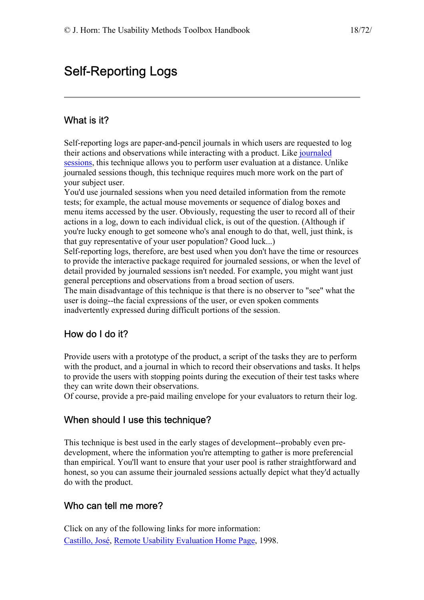# <span id="page-17-0"></span>Self-Reporting Logs

## What is it?

Self-reporting logs are paper-and-pencil journals in which users are requested to log their actions and observations while interacting with a product. Like [journaled](http://jthom.best.vwh.net/usability/journals.htm)  [sessions](http://jthom.best.vwh.net/usability/journals.htm), this technique allows you to perform user evaluation at a distance. Unlike journaled sessions though, this technique requires much more work on the part of your subject user.

You'd use journaled sessions when you need detailed information from the remote tests; for example, the actual mouse movements or sequence of dialog boxes and menu items accessed by the user. Obviously, requesting the user to record all of their actions in a log, down to each individual click, is out of the question. (Although if you're lucky enough to get someone who's anal enough to do that, well, just think, is that guy representative of your user population? Good luck...)

Self-reporting logs, therefore, are best used when you don't have the time or resources to provide the interactive package required for journaled sessions, or when the level of detail provided by journaled sessions isn't needed. For example, you might want just general perceptions and observations from a broad section of users.

The main disadvantage of this technique is that there is no observer to "see" what the user is doing--the facial expressions of the user, or even spoken comments inadvertently expressed during difficult portions of the session.

### How do I do it?

Provide users with a prototype of the product, a script of the tasks they are to perform with the product, and a journal in which to record their observations and tasks. It helps to provide the users with stopping points during the execution of their test tasks where they can write down their observations.

Of course, provide a pre-paid mailing envelope for your evaluators to return their log.

### When should I use this technique?

This technique is best used in the early stages of development--probably even predevelopment, where the information you're attempting to gather is more preferencial than empirical. You'll want to ensure that your user pool is rather straightforward and honest, so you can assume their journaled sessions actually depict what they'd actually do with the product.

### Who can tell me more?

Click on any of the following links for more information: [Castillo, José,](mailto:jxcast2@uswest.com) [Remote Usability Evaluation Home Page,](http://hci.ise.vt.edu/~josec/remote_eval/index.html) 1998.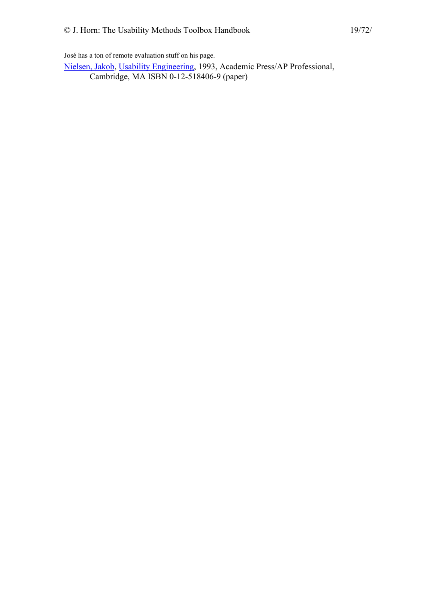José has a ton of remote evaluation stuff on his page.

[Nielsen, Jakob,](http://www.sun.com/columns/jakob/) [Usability Engineering](http://www.amazon.com/exec/obidos/ASIN/0125184069/theusabilitymeth), 1993, Academic Press/AP Professional, Cambridge, MA ISBN 0-12-518406-9 (paper)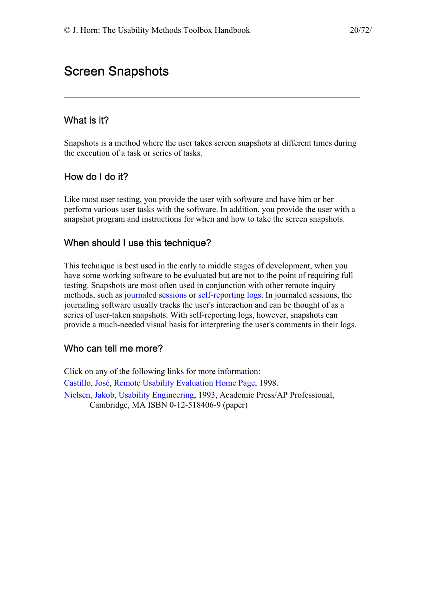# <span id="page-19-0"></span>Screen Snapshots

## What is it?

Snapshots is a method where the user takes screen snapshots at different times during the execution of a task or series of tasks.

## How do I do it?

Like most user testing, you provide the user with software and have him or her perform various user tasks with the software. In addition, you provide the user with a snapshot program and instructions for when and how to take the screen snapshots.

### When should I use this technique?

This technique is best used in the early to middle stages of development, when you have some working software to be evaluated but are not to the point of requiring full testing. Snapshots are most often used in conjunction with other remote inquiry methods, such as [journaled sessions](http://jthom.best.vwh.net/usability/journals.htm) or [self-reporting logs.](http://jthom.best.vwh.net/usability/selfrept.htm) In journaled sessions, the journaling software usually tracks the user's interaction and can be thought of as a series of user-taken snapshots. With self-reporting logs, however, snapshots can provide a much-needed visual basis for interpreting the user's comments in their logs.

## Who can tell me more?

Click on any of the following links for more information: [Castillo, José,](mailto:jxcast2@uswest.com) [Remote Usability Evaluation Home Page,](http://hci.ise.vt.edu/~josec/remote_eval/index.html) 1998. [Nielsen, Jakob,](http://www.sun.com/columns/jakob/) [Usability Engineering](http://www.amazon.com/exec/obidos/ASIN/0125184069/theusabilitymeth), 1993, Academic Press/AP Professional, Cambridge, MA ISBN 0-12-518406-9 (paper)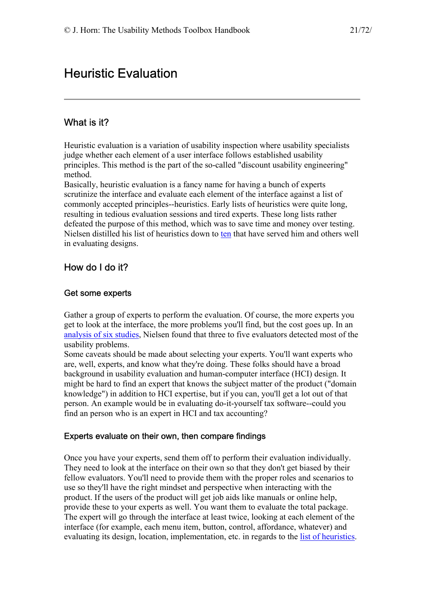# <span id="page-20-0"></span>Heuristic Evaluation

## What is it?

Heuristic evaluation is a variation of usability inspection where usability specialists judge whether each element of a user interface follows established usability principles. This method is the part of the so-called "discount usability engineering" method.

Basically, heuristic evaluation is a fancy name for having a bunch of experts scrutinize the interface and evaluate each element of the interface against a list of commonly accepted principles--heuristics. Early lists of heuristics were quite long, resulting in tedious evaluation sessions and tired experts. These long lists rather defeated the purpose of this method, which was to save time and money over testing. Nielsen distilled his list of heuristics down to [ten](http://www.useit.com/papers/heuristic/heuristic_list.html) that have served him and others well in evaluating designs.

## How do I do it?

#### Get some experts

Gather a group of experts to perform the evaluation. Of course, the more experts you get to look at the interface, the more problems you'll find, but the cost goes up. In an [analysis of six studies,](http://www.useit.com/papers/heuristic/heuristic_evaluation.html) Nielsen found that three to five evaluators detected most of the usability problems.

Some caveats should be made about selecting your experts. You'll want experts who are, well, experts, and know what they're doing. These folks should have a broad background in usability evaluation and human-computer interface (HCI) design. It might be hard to find an expert that knows the subject matter of the product ("domain knowledge") in addition to HCI expertise, but if you can, you'll get a lot out of that person. An example would be in evaluating do-it-yourself tax software--could you find an person who is an expert in HCI and tax accounting?

#### Experts evaluate on their own, then compare findings

Once you have your experts, send them off to perform their evaluation individually. They need to look at the interface on their own so that they don't get biased by their fellow evaluators. You'll need to provide them with the proper roles and scenarios to use so they'll have the right mindset and perspective when interacting with the product. If the users of the product will get job aids like manuals or online help, provide these to your experts as well. You want them to evaluate the total package. The expert will go through the interface at least twice, looking at each element of the interface (for example, each menu item, button, control, affordance, whatever) and evaluating its design, location, implementation, etc. in regards to the [list of heuristics.](http://www.useit.com/papers/heuristic/heuristic_list.html)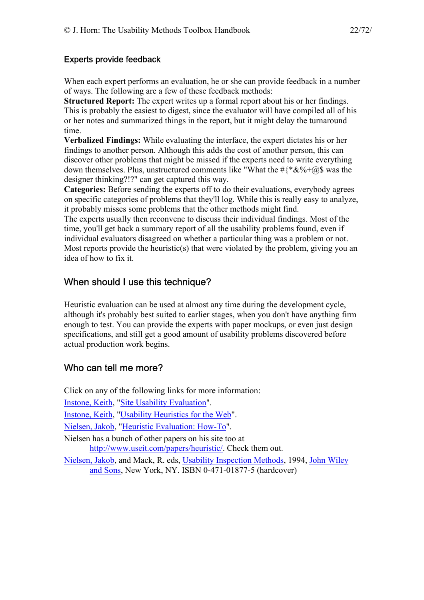#### <span id="page-21-0"></span>Experts provide feedback

When each expert performs an evaluation, he or she can provide feedback in a number of ways. The following are a few of these feedback methods:

**Structured Report:** The expert writes up a formal report about his or her findings. This is probably the easiest to digest, since the evaluator will have compiled all of his or her notes and summarized things in the report, but it might delay the turnaround time.

**Verbalized Findings:** While evaluating the interface, the expert dictates his or her findings to another person. Although this adds the cost of another person, this can discover other problems that might be missed if the experts need to write everything down themselves. Plus, unstructured comments like "What the  $\#{\{\ast \& \%\}}$  was the designer thinking?!?" can get captured this way.

**Categories:** Before sending the experts off to do their evaluations, everybody agrees on specific categories of problems that they'll log. While this is really easy to analyze, it probably misses some problems that the other methods might find.

The experts usually then reconvene to discuss their individual findings. Most of the time, you'll get back a summary report of all the usability problems found, even if individual evaluators disagreed on whether a particular thing was a problem or not. Most reports provide the heuristic(s) that were violated by the problem, giving you an idea of how to fix it.

### When should I use this technique?

Heuristic evaluation can be used at almost any time during the development cycle, although it's probably best suited to earlier stages, when you don't have anything firm enough to test. You can provide the experts with paper mockups, or even just design specifications, and still get a good amount of usability problems discovered before actual production work begins.

### Who can tell me more?

Click on any of the following links for more information:

[Instone, Keith,](http://webreview.com/universal/staff/contributors.html) "[Site Usability Evaluation"](http://webreview.com/wr/pub/97/10/10/usability/index.html).

[Instone, Keith,](http://webreview.com/universal/staff/contributors.html) "[Usability Heuristics for the Web"](http://webreview.com/wr/pub/97/10/10/usability/sidebar.html).

[Nielsen, Jakob,](http://www.sun.com/columns/jakob/) ["Heuristic Evaluation: How-To](http://www.useit.com/papers/heuristic/heuristic_evaluation.html)".

Nielsen has a bunch of other papers on his site too at [http://www.useit.com/papers/heuristic/.](http://www.useit.com/papers/heuristic/) Check them out.

[Nielsen, Jakob,](http://www.sun.com/columns/jakob/) and Mack, R. eds, [Usability Inspection Methods](http://www.amazon.com/exec/obidos/ASIN/0471018775/theusabilitymeth), 1994, [John Wiley](http://www.wiley.com/)  [and Sons,](http://www.wiley.com/) New York, NY. ISBN 0-471-01877-5 (hardcover)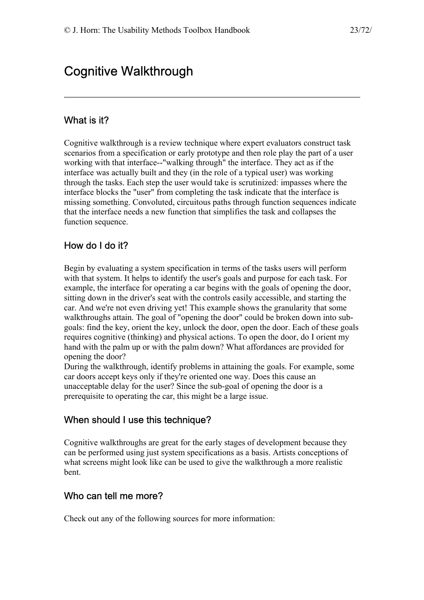# <span id="page-22-0"></span>Cognitive Walkthrough

### What is it?

Cognitive walkthrough is a review technique where expert evaluators construct task scenarios from a specification or early prototype and then role play the part of a user working with that interface--"walking through" the interface. They act as if the interface was actually built and they (in the role of a typical user) was working through the tasks. Each step the user would take is scrutinized: impasses where the interface blocks the "user" from completing the task indicate that the interface is missing something. Convoluted, circuitous paths through function sequences indicate that the interface needs a new function that simplifies the task and collapses the function sequence.

### How do I do it?

Begin by evaluating a system specification in terms of the tasks users will perform with that system. It helps to identify the user's goals and purpose for each task. For example, the interface for operating a car begins with the goals of opening the door, sitting down in the driver's seat with the controls easily accessible, and starting the car. And we're not even driving yet! This example shows the granularity that some walkthroughs attain. The goal of "opening the door" could be broken down into subgoals: find the key, orient the key, unlock the door, open the door. Each of these goals requires cognitive (thinking) and physical actions. To open the door, do I orient my hand with the palm up or with the palm down? What affordances are provided for opening the door?

During the walkthrough, identify problems in attaining the goals. For example, some car doors accept keys only if they're oriented one way. Does this cause an unacceptable delay for the user? Since the sub-goal of opening the door is a prerequisite to operating the car, this might be a large issue.

### When should I use this technique?

Cognitive walkthroughs are great for the early stages of development because they can be performed using just system specifications as a basis. Artists conceptions of what screens might look like can be used to give the walkthrough a more realistic bent.

#### Who can tell me more?

Check out any of the following sources for more information: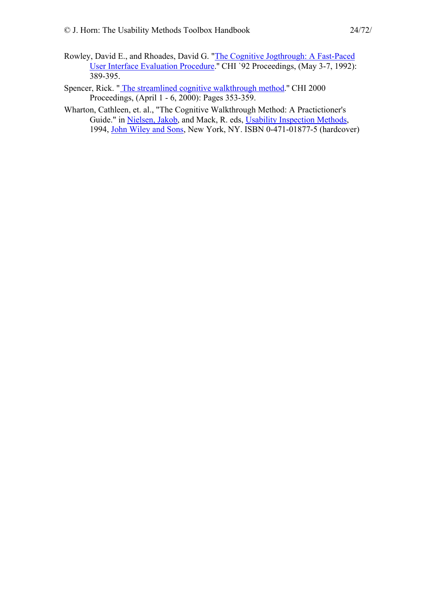- Rowley, David E., and Rhoades, David G. ["The Cognitive Jogthrough: A Fast-Paced](http://www.acm.org/pubs/citations/proceedings/chi/142750/p389-rowley/)  [User Interface Evaluation Procedure.](http://www.acm.org/pubs/citations/proceedings/chi/142750/p389-rowley/)'' CHI `92 Proceedings, (May 3-7, 1992): 389-395.
- Spencer, Rick. [" The streamlined cognitive walkthrough method](http://www.acm.org/pubs/citations/proceedings/chi/332040/p353-spencer/).'' CHI 2000 Proceedings, (April 1 - 6, 2000): Pages 353-359.
- Wharton, Cathleen, et. al., "The Cognitive Walkthrough Method: A Practictioner's Guide." in [Nielsen, Jakob](http://www.sun.com/columns/jakob/), and Mack, R. eds, [Usability Inspection Methods,](http://www.amazon.com/exec/obidos/ASIN/0471018775/theusabilitymeth) 1994, [John Wiley and Sons,](http://www.wiley.com/) New York, NY. ISBN 0-471-01877-5 (hardcover)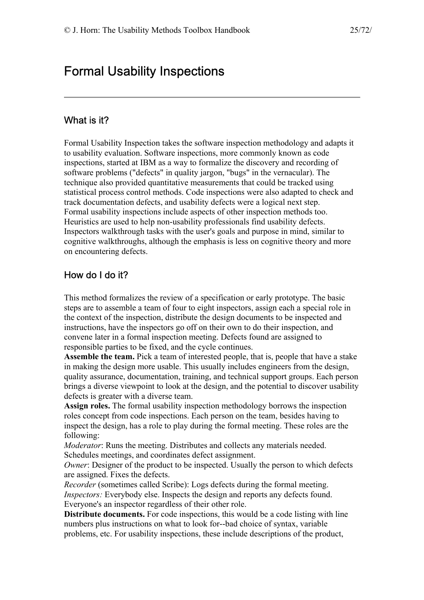# <span id="page-24-0"></span>Formal Usability Inspections

### What is it?

Formal Usability Inspection takes the software inspection methodology and adapts it to usability evaluation. Software inspections, more commonly known as code inspections, started at IBM as a way to formalize the discovery and recording of software problems ("defects" in quality jargon, "bugs" in the vernacular). The technique also provided quantitative measurements that could be tracked using statistical process control methods. Code inspections were also adapted to check and track documentation defects, and usability defects were a logical next step. Formal usability inspections include aspects of other inspection methods too. Heuristics are used to help non-usability professionals find usability defects. Inspectors walkthrough tasks with the user's goals and purpose in mind, similar to cognitive walkthroughs, although the emphasis is less on cognitive theory and more on encountering defects.

## How do I do it?

This method formalizes the review of a specification or early prototype. The basic steps are to assemble a team of four to eight inspectors, assign each a special role in the context of the inspection, distribute the design documents to be inspected and instructions, have the inspectors go off on their own to do their inspection, and convene later in a formal inspection meeting. Defects found are assigned to responsible parties to be fixed, and the cycle continues.

**Assemble the team.** Pick a team of interested people, that is, people that have a stake in making the design more usable. This usually includes engineers from the design, quality assurance, documentation, training, and technical support groups. Each person brings a diverse viewpoint to look at the design, and the potential to discover usability defects is greater with a diverse team.

**Assign roles.** The formal usability inspection methodology borrows the inspection roles concept from code inspections. Each person on the team, besides having to inspect the design, has a role to play during the formal meeting. These roles are the following:

*Moderator*: Runs the meeting. Distributes and collects any materials needed. Schedules meetings, and coordinates defect assignment.

*Owner*: Designer of the product to be inspected. Usually the person to which defects are assigned. Fixes the defects.

*Recorder* (sometimes called Scribe): Logs defects during the formal meeting. *Inspectors:* Everybody else. Inspects the design and reports any defects found. Everyone's an inspector regardless of their other role.

**Distribute documents.** For code inspections, this would be a code listing with line numbers plus instructions on what to look for--bad choice of syntax, variable problems, etc. For usability inspections, these include descriptions of the product,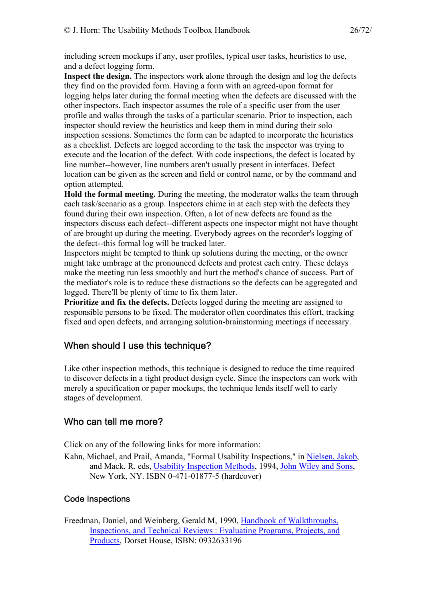<span id="page-25-0"></span>including screen mockups if any, user profiles, typical user tasks, heuristics to use, and a defect logging form.

**Inspect the design.** The inspectors work alone through the design and log the defects they find on the provided form. Having a form with an agreed-upon format for logging helps later during the formal meeting when the defects are discussed with the other inspectors. Each inspector assumes the role of a specific user from the user profile and walks through the tasks of a particular scenario. Prior to inspection, each inspector should review the heuristics and keep them in mind during their solo inspection sessions. Sometimes the form can be adapted to incorporate the heuristics as a checklist. Defects are logged according to the task the inspector was trying to execute and the location of the defect. With code inspections, the defect is located by line number--however, line numbers aren't usually present in interfaces. Defect location can be given as the screen and field or control name, or by the command and option attempted.

**Hold the formal meeting.** During the meeting, the moderator walks the team through each task/scenario as a group. Inspectors chime in at each step with the defects they found during their own inspection. Often, a lot of new defects are found as the inspectors discuss each defect--different aspects one inspector might not have thought of are brought up during the meeting. Everybody agrees on the recorder's logging of the defect--this formal log will be tracked later.

Inspectors might be tempted to think up solutions during the meeting, or the owner might take umbrage at the pronounced defects and protest each entry. These delays make the meeting run less smoothly and hurt the method's chance of success. Part of the mediator's role is to reduce these distractions so the defects can be aggregated and logged. There'll be plenty of time to fix them later.

**Prioritize and fix the defects.** Defects logged during the meeting are assigned to responsible persons to be fixed. The moderator often coordinates this effort, tracking fixed and open defects, and arranging solution-brainstorming meetings if necessary.

## When should I use this technique?

Like other inspection methods, this technique is designed to reduce the time required to discover defects in a tight product design cycle. Since the inspectors can work with merely a specification or paper mockups, the technique lends itself well to early stages of development.

## Who can tell me more?

Click on any of the following links for more information:

Kahn, Michael, and Prail, Amanda, "Formal Usability Inspections," in [Nielsen, Jakob,](http://www.sun.com/columns/jakob/) and Mack, R. eds, [Usability Inspection Methods,](http://www.amazon.com/exec/obidos/ASIN/0471018775/theusabilitymeth) 1994, [John Wiley and Sons](http://www.wiley.com/), New York, NY. ISBN 0-471-01877-5 (hardcover)

### Code Inspections

Freedman, Daniel, and Weinberg, Gerald M, 1990, [Handbook of Walkthroughs,](http://www.amazon.com/exec/obidos/ASIN/0932633196/theusabilitymeth)  [Inspections, and Technical Reviews : Evaluating Programs, Projects, and](http://www.amazon.com/exec/obidos/ASIN/0932633196/theusabilitymeth)  [Products,](http://www.amazon.com/exec/obidos/ASIN/0932633196/theusabilitymeth) Dorset House, ISBN: 0932633196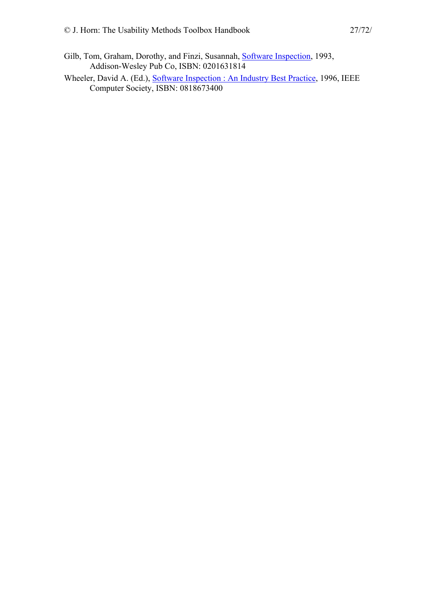- Gilb, Tom, Graham, Dorothy, and Finzi, Susannah, [Software Inspection,](http://www.amazon.com/exec/obidos/ASIN/0201631814/theusabilitymeth) 1993, Addison-Wesley Pub Co, ISBN: 0201631814
- Wheeler, David A. (Ed.), [Software Inspection : An Industry Best Practice](http://www.amazon.com/exec/obidos/ASIN/0818673400/theusabilitymeth), 1996, IEEE Computer Society, ISBN: 0818673400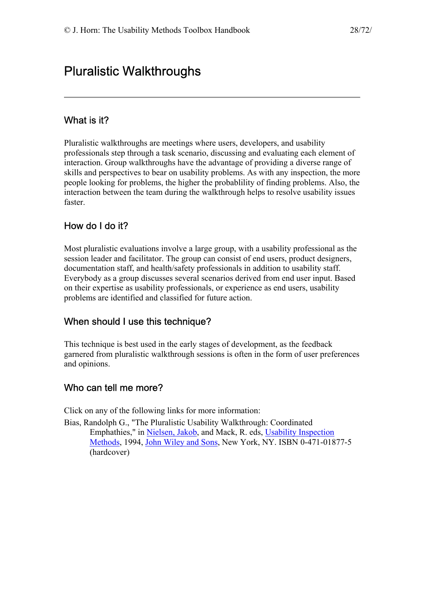# <span id="page-27-0"></span>Pluralistic Walkthroughs

## What is it?

Pluralistic walkthroughs are meetings where users, developers, and usability professionals step through a task scenario, discussing and evaluating each element of interaction. Group walkthroughs have the advantage of providing a diverse range of skills and perspectives to bear on usability problems. As with any inspection, the more people looking for problems, the higher the probablility of finding problems. Also, the interaction between the team during the walkthrough helps to resolve usability issues faster.

## How do I do it?

Most pluralistic evaluations involve a large group, with a usability professional as the session leader and facilitator. The group can consist of end users, product designers, documentation staff, and health/safety professionals in addition to usability staff. Everybody as a group discusses several scenarios derived from end user input. Based on their expertise as usability professionals, or experience as end users, usability problems are identified and classified for future action.

## When should I use this technique?

This technique is best used in the early stages of development, as the feedback garnered from pluralistic walkthrough sessions is often in the form of user preferences and opinions.

## Who can tell me more?

Click on any of the following links for more information:

Bias, Randolph G., "The Pluralistic Usability Walkthrough: Coordinated Emphathies," in [Nielsen, Jakob](http://www.sun.com/columns/jakob/), and Mack, R. eds, [Usability Inspection](http://www.amazon.com/exec/obidos/ASIN/0471018775/theusabilitymeth)  [Methods,](http://www.amazon.com/exec/obidos/ASIN/0471018775/theusabilitymeth) 1994, [John Wiley and Sons,](http://www.wiley.com/) New York, NY. ISBN 0-471-01877-5 (hardcover)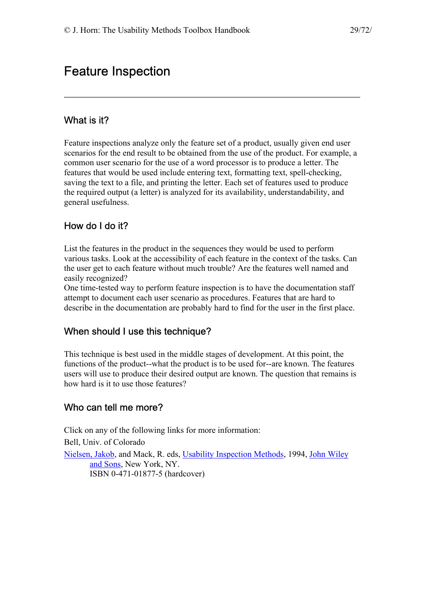# <span id="page-28-0"></span>Feature Inspection

## What is it?

Feature inspections analyze only the feature set of a product, usually given end user scenarios for the end result to be obtained from the use of the product. For example, a common user scenario for the use of a word processor is to produce a letter. The features that would be used include entering text, formatting text, spell-checking, saving the text to a file, and printing the letter. Each set of features used to produce the required output (a letter) is analyzed for its availability, understandability, and general usefulness.

## How do I do it?

List the features in the product in the sequences they would be used to perform various tasks. Look at the accessibility of each feature in the context of the tasks. Can the user get to each feature without much trouble? Are the features well named and easily recognized?

One time-tested way to perform feature inspection is to have the documentation staff attempt to document each user scenario as procedures. Features that are hard to describe in the documentation are probably hard to find for the user in the first place.

## When should I use this technique?

This technique is best used in the middle stages of development. At this point, the functions of the product--what the product is to be used for--are known. The features users will use to produce their desired output are known. The question that remains is how hard is it to use those features?

## Who can tell me more?

Click on any of the following links for more information: Bell, Univ. of Colorado [Nielsen, Jakob,](http://www.sun.com/columns/jakob/) and Mack, R. eds, [Usability Inspection Methods](http://www.amazon.com/exec/obidos/ASIN/0471018775/theusabilitymeth), 1994, [John Wiley](http://www.wiley.com/)  [and Sons,](http://www.wiley.com/) New York, NY. ISBN 0-471-01877-5 (hardcover)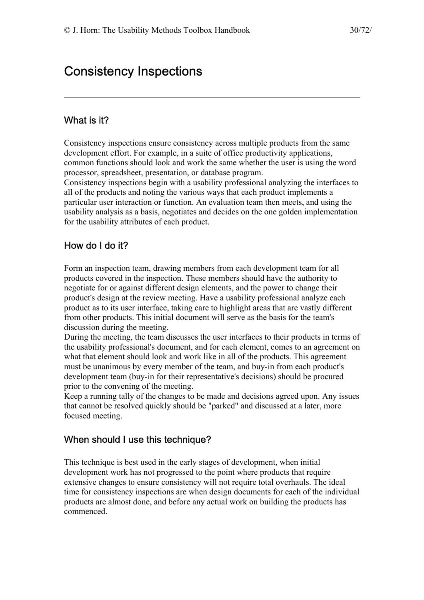# <span id="page-29-0"></span>Consistency Inspections

## What is it?

Consistency inspections ensure consistency across multiple products from the same development effort. For example, in a suite of office productivity applications, common functions should look and work the same whether the user is using the word processor, spreadsheet, presentation, or database program.

Consistency inspections begin with a usability professional analyzing the interfaces to all of the products and noting the various ways that each product implements a particular user interaction or function. An evaluation team then meets, and using the usability analysis as a basis, negotiates and decides on the one golden implementation for the usability attributes of each product.

## How do I do it?

Form an inspection team, drawing members from each development team for all products covered in the inspection. These members should have the authority to negotiate for or against different design elements, and the power to change their product's design at the review meeting. Have a usability professional analyze each product as to its user interface, taking care to highlight areas that are vastly different from other products. This initial document will serve as the basis for the team's discussion during the meeting.

During the meeting, the team discusses the user interfaces to their products in terms of the usability professional's document, and for each element, comes to an agreement on what that element should look and work like in all of the products. This agreement must be unanimous by every member of the team, and buy-in from each product's development team (buy-in for their representative's decisions) should be procured prior to the convening of the meeting.

Keep a running tally of the changes to be made and decisions agreed upon. Any issues that cannot be resolved quickly should be "parked" and discussed at a later, more focused meeting.

## When should I use this technique?

This technique is best used in the early stages of development, when initial development work has not progressed to the point where products that require extensive changes to ensure consistency will not require total overhauls. The ideal time for consistency inspections are when design documents for each of the individual products are almost done, and before any actual work on building the products has commenced.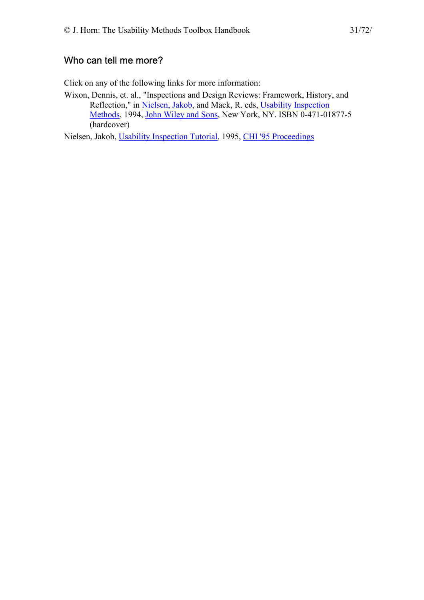## <span id="page-30-0"></span>Who can tell me more?

Click on any of the following links for more information:

Wixon, Dennis, et. al., "Inspections and Design Reviews: Framework, History, and Reflection," in [Nielsen, Jakob,](http://www.sun.com/columns/jakob/) and Mack, R. eds, [Usability Inspection](http://www.amazon.com/exec/obidos/ASIN/0471018775/theusabilitymeth)  [Methods,](http://www.amazon.com/exec/obidos/ASIN/0471018775/theusabilitymeth) 1994, [John Wiley and Sons,](http://www.wiley.com/) New York, NY. ISBN 0-471-01877-5 (hardcover)

Nielsen, Jakob, [Usability Inspection Tutorial](http://www.acm.org/sigchi/chi95/proceedings/tutors/jn_bdy.htm), 1995, [CHI '95 Proceedings](http://www.acm.org/sigchi/chi95/proceedings/)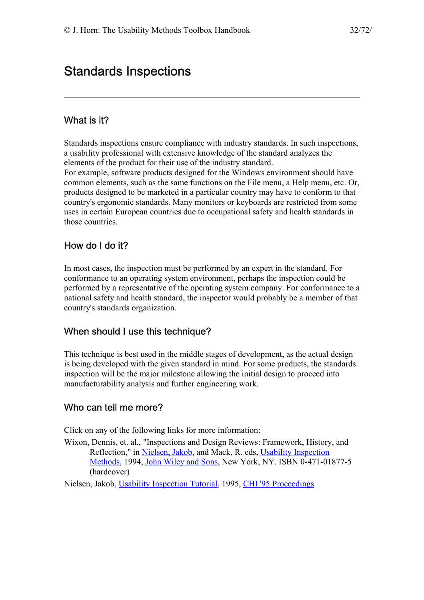# <span id="page-31-0"></span>Standards Inspections

### What is it?

Standards inspections ensure compliance with industry standards. In such inspections, a usability professional with extensive knowledge of the standard analyzes the elements of the product for their use of the industry standard.

For example, software products designed for the Windows environment should have common elements, such as the same functions on the File menu, a Help menu, etc. Or, products designed to be marketed in a particular country may have to conform to that country's ergonomic standards. Many monitors or keyboards are restricted from some uses in certain European countries due to occupational safety and health standards in those countries.

### How do I do it?

In most cases, the inspection must be performed by an expert in the standard. For conformance to an operating system environment, perhaps the inspection could be performed by a representative of the operating system company. For conformance to a national safety and health standard, the inspector would probably be a member of that country's standards organization.

#### When should I use this technique?

This technique is best used in the middle stages of development, as the actual design is being developed with the given standard in mind. For some products, the standards inspection will be the major milestone allowing the initial design to proceed into manufacturability analysis and further engineering work.

#### Who can tell me more?

Click on any of the following links for more information:

- Wixon, Dennis, et. al., "Inspections and Design Reviews: Framework, History, and Reflection," in [Nielsen, Jakob,](http://www.sun.com/columns/jakob/) and Mack, R. eds, [Usability Inspection](http://www.amazon.com/exec/obidos/ASIN/0471018775/theusabilitymeth)  [Methods,](http://www.amazon.com/exec/obidos/ASIN/0471018775/theusabilitymeth) 1994, [John Wiley and Sons,](http://www.wiley.com/) New York, NY. ISBN 0-471-01877-5 (hardcover)
- Nielsen, Jakob, [Usability Inspection Tutorial](http://www.acm.org/sigchi/chi95/proceedings/tutors/jn_bdy.htm), 1995, [CHI '95 Proceedings](http://www.acm.org/sigchi/chi95/proceedings/)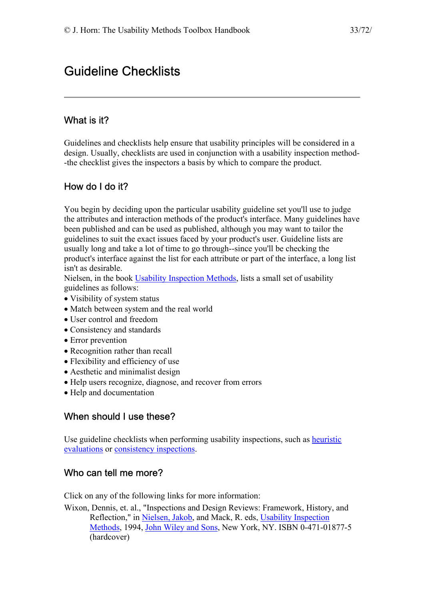# <span id="page-32-0"></span>Guideline Checklists

## What is it?

Guidelines and checklists help ensure that usability principles will be considered in a design. Usually, checklists are used in conjunction with a usability inspection method- -the checklist gives the inspectors a basis by which to compare the product.

## How do I do it?

You begin by deciding upon the particular usability guideline set you'll use to judge the attributes and interaction methods of the product's interface. Many guidelines have been published and can be used as published, although you may want to tailor the guidelines to suit the exact issues faced by your product's user. Guideline lists are usually long and take a lot of time to go through--since you'll be checking the product's interface against the list for each attribute or part of the interface, a long list isn't as desirable.

Nielsen, in the book [Usability Inspection Methods,](http://www.amazon.com/exec/obidos/ASIN/0471018775/theusabilitymeth) lists a small set of usability guidelines as follows:

- Visibility of system status
- Match between system and the real world
- User control and freedom
- Consistency and standards
- Error prevention
- Recognition rather than recall
- Flexibility and efficiency of use
- Aesthetic and minimalist design
- Help users recognize, diagnose, and recover from errors
- Help and documentation

## When should I use these?

Use guideline checklists when performing usability inspections, such as [heuristic](http://jthom.best.vwh.net/usability/heuristic.htm)  [evaluations](http://jthom.best.vwh.net/usability/heuristic.htm) or [consistency inspections.](http://jthom.best.vwh.net/usability/heuristic.htm)

## Who can tell me more?

Click on any of the following links for more information:

Wixon, Dennis, et. al., "Inspections and Design Reviews: Framework, History, and Reflection," in [Nielsen, Jakob,](http://www.sun.com/columns/jakob/) and Mack, R. eds, [Usability Inspection](http://www.amazon.com/exec/obidos/ASIN/0471018775/theusabilitymeth)  [Methods,](http://www.amazon.com/exec/obidos/ASIN/0471018775/theusabilitymeth) 1994, [John Wiley and Sons,](http://www.wiley.com/) New York, NY. ISBN 0-471-01877-5 (hardcover)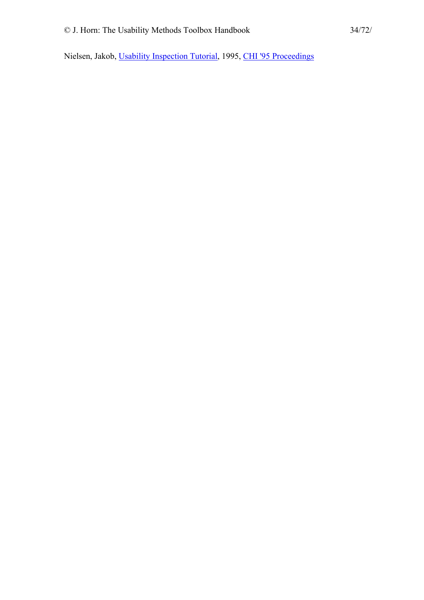Nielsen, Jakob, [Usability Inspection Tutorial](http://www.acm.org/sigchi/chi95/proceedings/tutors/jn_bdy.htm), 1995, [CHI '95 Proceedings](http://www.acm.org/sigchi/chi95/proceedings/)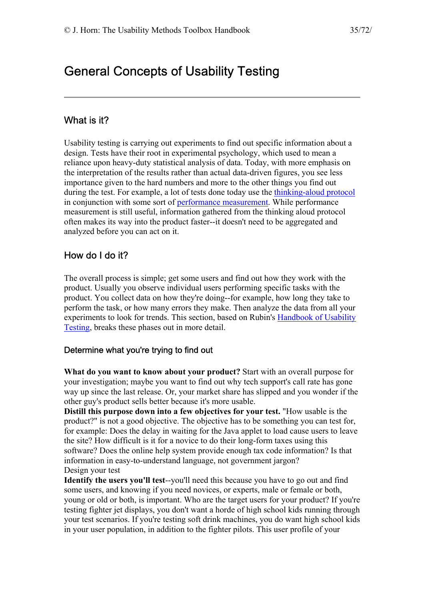# <span id="page-34-0"></span>General Concepts of Usability Testing

### What is it?

Usability testing is carrying out experiments to find out specific information about a design. Tests have their root in experimental psychology, which used to mean a reliance upon heavy-duty statistical analysis of data. Today, with more emphasis on the interpretation of the results rather than actual data-driven figures, you see less importance given to the hard numbers and more to the other things you find out during the test. For example, a lot of tests done today use the [thinking-aloud protocol](http://jthom.best.vwh.net/usability/thnkalod.htm) in conjunction with some sort of [performance measurement](http://jthom.best.vwh.net/usability/perfmeas.htm). While performance measurement is still useful, information gathered from the thinking aloud protocol often makes its way into the product faster--it doesn't need to be aggregated and analyzed before you can act on it.

### How do I do it?

The overall process is simple; get some users and find out how they work with the product. Usually you observe individual users performing specific tasks with the product. You collect data on how they're doing--for example, how long they take to perform the task, or how many errors they make. Then analyze the data from all your experiments to look for trends. This section, based on Rubin's [Handbook of Usability](http://jthom.best.vwh.net/usability/biblio.htm)  [Testing,](http://jthom.best.vwh.net/usability/biblio.htm) breaks these phases out in more detail.

#### Determine what you're trying to find out

**What do you want to know about your product?** Start with an overall purpose for your investigation; maybe you want to find out why tech support's call rate has gone way up since the last release. Or, your market share has slipped and you wonder if the other guy's product sells better because it's more usable.

**Distill this purpose down into a few objectives for your test.** "How usable is the product?" is not a good objective. The objective has to be something you can test for, for example: Does the delay in waiting for the Java applet to load cause users to leave the site? How difficult is it for a novice to do their long-form taxes using this software? Does the online help system provide enough tax code information? Is that information in easy-to-understand language, not government jargon? Design your test

**Identify the users you'll test**--you'll need this because you have to go out and find some users, and knowing if you need novices, or experts, male or female or both, young or old or both, is important. Who are the target users for your product? If you're testing fighter jet displays, you don't want a horde of high school kids running through your test scenarios. If you're testing soft drink machines, you do want high school kids in your user population, in addition to the fighter pilots. This user profile of your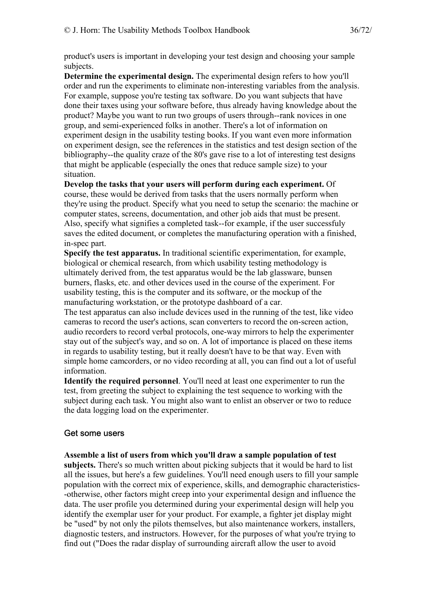product's users is important in developing your test design and choosing your sample subjects.

**Determine the experimental design.** The experimental design refers to how you'll order and run the experiments to eliminate non-interesting variables from the analysis. For example, suppose you're testing tax software. Do you want subjects that have done their taxes using your software before, thus already having knowledge about the product? Maybe you want to run two groups of users through--rank novices in one group, and semi-experienced folks in another. There's a lot of information on experiment design in the usability testing books. If you want even more information on experiment design, see the references in the statistics and test design section of the bibliography--the quality craze of the 80's gave rise to a lot of interesting test designs that might be applicable (especially the ones that reduce sample size) to your situation.

**Develop the tasks that your users will perform during each experiment.** Of course, these would be derived from tasks that the users normally perform when they're using the product. Specify what you need to setup the scenario: the machine or computer states, screens, documentation, and other job aids that must be present. Also, specify what signifies a completed task--for example, if the user successfuly saves the edited document, or completes the manufacturing operation with a finished, in-spec part.

**Specify the test apparatus.** In traditional scientific experimentation, for example, biological or chemical research, from which usability testing methodology is ultimately derived from, the test apparatus would be the lab glassware, bunsen burners, flasks, etc. and other devices used in the course of the experiment. For usability testing, this is the computer and its software, or the mockup of the manufacturing workstation, or the prototype dashboard of a car.

The test apparatus can also include devices used in the running of the test, like video cameras to record the user's actions, scan converters to record the on-screen action, audio recorders to record verbal protocols, one-way mirrors to help the experimenter stay out of the subject's way, and so on. A lot of importance is placed on these items in regards to usability testing, but it really doesn't have to be that way. Even with simple home camcorders, or no video recording at all, you can find out a lot of useful information.

**Identify the required personnel**. You'll need at least one experimenter to run the test, from greeting the subject to explaining the test sequence to working with the subject during each task. You might also want to enlist an observer or two to reduce the data logging load on the experimenter.

#### Get some users

#### **Assemble a list of users from which you'll draw a sample population of test**

**subjects.** There's so much written about picking subjects that it would be hard to list all the issues, but here's a few guidelines. You'll need enough users to fill your sample population with the correct mix of experience, skills, and demographic characteristics- -otherwise, other factors might creep into your experimental design and influence the data. The user profile you determined during your experimental design will help you identify the exemplar user for your product. For example, a fighter jet display might be "used" by not only the pilots themselves, but also maintenance workers, installers, diagnostic testers, and instructors. However, for the purposes of what you're trying to find out ("Does the radar display of surrounding aircraft allow the user to avoid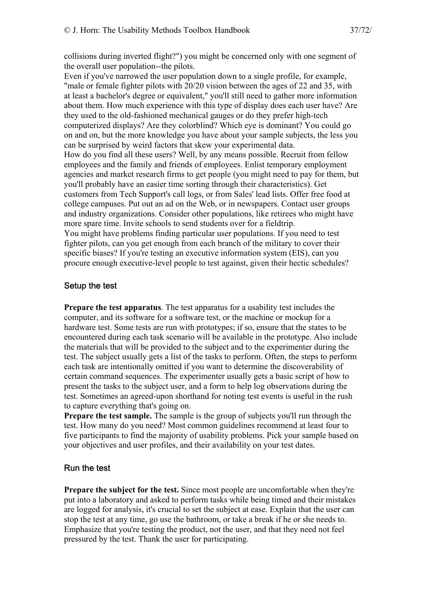collisions during inverted flight?") you might be concerned only with one segment of the overall user population--the pilots.

Even if you've narrowed the user population down to a single profile, for example, "male or female fighter pilots with 20/20 vision between the ages of 22 and 35, with at least a bachelor's degree or equivalent," you'll still need to gather more information about them. How much experience with this type of display does each user have? Are they used to the old-fashioned mechanical gauges or do they prefer high-tech computerized displays? Are they colorblind? Which eye is dominant? You could go on and on, but the more knowledge you have about your sample subjects, the less you can be surprised by weird factors that skew your experimental data. How do you find all these users? Well, by any means possible. Recruit from fellow employees and the family and friends of employees. Enlist temporary employment agencies and market research firms to get people (you might need to pay for them, but you'll probably have an easier time sorting through their characteristics). Get customers from Tech Support's call logs, or from Sales' lead lists. Offer free food at college campuses. Put out an ad on the Web, or in newspapers. Contact user groups and industry organizations. Consider other populations, like retirees who might have more spare time. Invite schools to send students over for a fieldtrip. You might have problems finding particular user populations. If you need to test fighter pilots, can you get enough from each branch of the military to cover their specific biases? If you're testing an executive information system (EIS), can you procure enough executive-level people to test against, given their hectic schedules?

#### Setup the test

**Prepare the test apparatus**. The test apparatus for a usability test includes the computer, and its software for a software test, or the machine or mockup for a hardware test. Some tests are run with prototypes; if so, ensure that the states to be encountered during each task scenario will be available in the prototype. Also include the materials that will be provided to the subject and to the experimenter during the test. The subject usually gets a list of the tasks to perform. Often, the steps to perform each task are intentionally omitted if you want to determine the discoverability of certain command sequences. The experimenter usually gets a basic script of how to present the tasks to the subject user, and a form to help log observations during the test. Sometimes an agreed-upon shorthand for noting test events is useful in the rush to capture everything that's going on.

**Prepare the test sample.** The sample is the group of subjects you'll run through the test. How many do you need? Most common guidelines recommend at least four to five participants to find the majority of usability problems. Pick your sample based on your objectives and user profiles, and their availability on your test dates.

#### Run the test

**Prepare the subject for the test.** Since most people are uncomfortable when they're put into a laboratory and asked to perform tasks while being timed and their mistakes are logged for analysis, it's crucial to set the subject at ease. Explain that the user can stop the test at any time, go use the bathroom, or take a break if he or she needs to. Emphasize that you're testing the product, not the user, and that they need not feel pressured by the test. Thank the user for participating.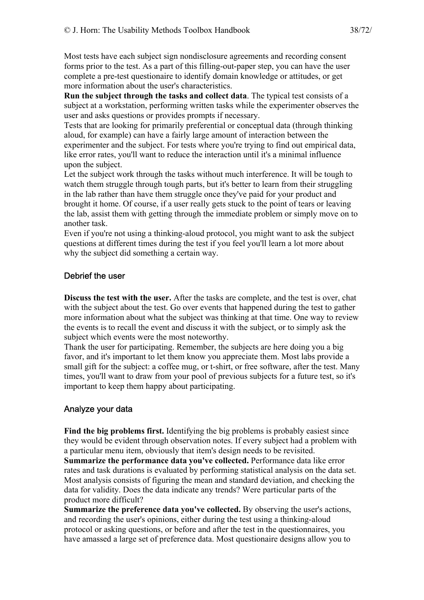Most tests have each subject sign nondisclosure agreements and recording consent forms prior to the test. As a part of this filling-out-paper step, you can have the user complete a pre-test questionaire to identify domain knowledge or attitudes, or get more information about the user's characteristics.

**Run the subject through the tasks and collect data**. The typical test consists of a subject at a workstation, performing written tasks while the experimenter observes the user and asks questions or provides prompts if necessary.

Tests that are looking for primarily preferential or conceptual data (through thinking aloud, for example) can have a fairly large amount of interaction between the experimenter and the subject. For tests where you're trying to find out empirical data, like error rates, you'll want to reduce the interaction until it's a minimal influence upon the subject.

Let the subject work through the tasks without much interference. It will be tough to watch them struggle through tough parts, but it's better to learn from their struggling in the lab rather than have them struggle once they've paid for your product and brought it home. Of course, if a user really gets stuck to the point of tears or leaving the lab, assist them with getting through the immediate problem or simply move on to another task.

Even if you're not using a thinking-aloud protocol, you might want to ask the subject questions at different times during the test if you feel you'll learn a lot more about why the subject did something a certain way.

#### Debrief the user

**Discuss the test with the user.** After the tasks are complete, and the test is over, chat with the subject about the test. Go over events that happened during the test to gather more information about what the subject was thinking at that time. One way to review the events is to recall the event and discuss it with the subject, or to simply ask the subject which events were the most noteworthy.

Thank the user for participating. Remember, the subjects are here doing you a big favor, and it's important to let them know you appreciate them. Most labs provide a small gift for the subject: a coffee mug, or t-shirt, or free software, after the test. Many times, you'll want to draw from your pool of previous subjects for a future test, so it's important to keep them happy about participating.

#### Analyze your data

**Find the big problems first.** Identifying the big problems is probably easiest since they would be evident through observation notes. If every subject had a problem with a particular menu item, obviously that item's design needs to be revisited. **Summarize the performance data you've collected.** Performance data like error rates and task durations is evaluated by performing statistical analysis on the data set.

Most analysis consists of figuring the mean and standard deviation, and checking the data for validity. Does the data indicate any trends? Were particular parts of the product more difficult?

**Summarize the preference data you've collected.** By observing the user's actions, and recording the user's opinions, either during the test using a thinking-aloud protocol or asking questions, or before and after the test in the questionnaires, you have amassed a large set of preference data. Most questionaire designs allow you to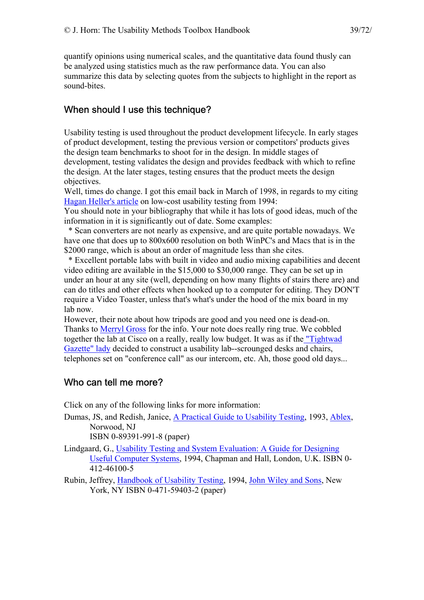quantify opinions using numerical scales, and the quantitative data found thusly can be analyzed using statistics much as the raw performance data. You can also summarize this data by selecting quotes from the subjects to highlight in the report as sound-bites.

## When should I use this technique?

Usability testing is used throughout the product development lifecycle. In early stages of product development, testing the previous version or competitors' products gives the design team benchmarks to shoot for in the design. In middle stages of development, testing validates the design and provides feedback with which to refine the design. At the later stages, testing ensures that the product meets the design objectives.

Well, times do change. I got this email back in March of 1998, in regards to my citing [Hagan Heller's article](http://jthom.best.vwh.net/usability/) on low-cost usability testing from 1994:

You should note in your bibliography that while it has lots of good ideas, much of the information in it is significantly out of date. Some examples:

 \* Scan converters are not nearly as expensive, and are quite portable nowadays. We have one that does up to 800x600 resolution on both WinPC's and Macs that is in the \$2000 range, which is about an order of magnitude less than she cites.

 \* Excellent portable labs with built in video and audio mixing capabilities and decent video editing are available in the \$15,000 to \$30,000 range. They can be set up in under an hour at any site (well, depending on how many flights of stairs there are) and can do titles and other effects when hooked up to a computer for editing. They DON'T require a Video Toaster, unless that's what's under the hood of the mix board in my lab now.

However, their note about how tripods are good and you need one is dead-on. Thanks to [Merryl Gross](http://members.aol.com/merryl/) for the info. Your note does really ring true. We cobbled together the lab at Cisco on a really, really low budget. It was as if th[e "Tightwad](http://users.aol.com/maryfou/tightwad.html)  [Gazette" lady](http://users.aol.com/maryfou/tightwad.html) decided to construct a usability lab--scrounged desks and chairs, telephones set on "conference call" as our intercom, etc. Ah, those good old days...

## Who can tell me more?

Click on any of the following links for more information:

Dumas, JS, and Redish, Janice, [A Practical Guide to Usability Testing](http://www.amazon.com/exec/obidos/ASIN/089391990X/theusabilitymeth), 1993, [Ablex,](http://ablex.com/) Norwood, NJ

ISBN 0-89391-991-8 (paper)

- Lindgaard, G., [Usability Testing and System Evaluation: A Guide for Designing](http://www.amazon.com/exec/obidos/quicksearch-query/002-7963698-4776821/theusabilitymeth)  [Useful Computer Systems,](http://www.amazon.com/exec/obidos/quicksearch-query/002-7963698-4776821/theusabilitymeth) 1994, Chapman and Hall, London, U.K. ISBN 0- 412-46100-5
- Rubin, Jeffrey, [Handbook of Usability Testing,](http://www.amazon.com/exec/obidos/ASIN/0471594032/theusabilitymeth) 1994, [John Wiley and Sons](http://www.wiley.com/), New York, NY ISBN 0-471-59403-2 (paper)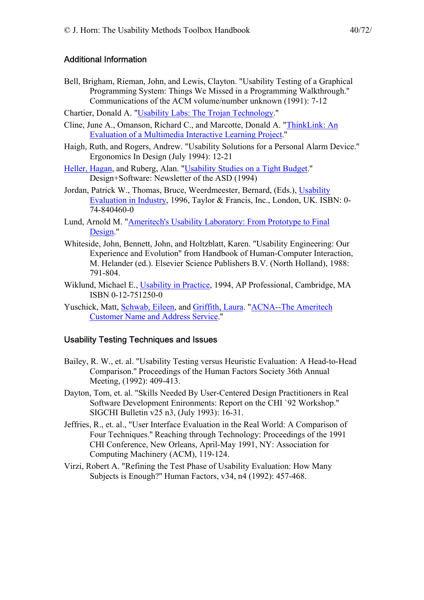#### Additional Information

- Bell, Brigham, Rieman, John, and Lewis, Clayton. "Usability Testing of a Graphical Programming System: Things We Missed in a Programming Walkthrough.'' Communications of the ACM volume/number unknown (1991): 7-12
- Chartier, Donald A. ["Usability Labs: The Trojan Technology.](http://www.ac.com/eagle/trojan.htm)''
- Cline, June A., Omanson, Richard C., and Marcotte, Donald A. "[ThinkLink: An](http://www.ameritech.com/news/testtown/articles/thinklink.html)  [Evaluation of a Multimedia Interactive Learning Project.](http://www.ameritech.com/news/testtown/articles/thinklink.html)''
- Haigh, Ruth, and Rogers, Andrew. "Usability Solutions for a Personal Alarm Device.'' Ergonomics In Design (July 1994): 12-21
- [Heller, Hagan](http://home.netscape.com/people/hagan/index.html), and Ruberg, Alan. ["Usability Studies on a Tight Budget.](http://www-pcd.stanford.edu/asd/info/articles/guerrilla-labs.html)'' Design+Software: Newsletter of the ASD (1994)
- Jordan, Patrick W., Thomas, Bruce, Weerdmeester, Bernard, (Eds.), [Usability](http://www.amazon.com/exec/obidos/ASIN/0748404600/theusabilitymeth)  [Evaluation in Industry](http://www.amazon.com/exec/obidos/ASIN/0748404600/theusabilitymeth), 1996, Taylor & Francis, Inc., London, UK. ISBN: 0- 74-840460-0
- Lund, Arnold M. "[Ameritech's Usability Laboratory: From Prototype to Final](http://www.ameritech.com/news/testtown/articles/uselab.html)  [Design.](http://www.ameritech.com/news/testtown/articles/uselab.html)''
- Whiteside, John, Bennett, John, and Holtzblatt, Karen. "Usability Engineering: Our Experience and Evolution'' from Handbook of Human-Computer Interaction, M. Helander (ed.). Elsevier Science Publishers B.V. (North Holland), 1988: 791-804.
- Wiklund, Michael E., [Usability in Practice,](http://www.amazon.com/exec/obidos/ASIN/0127512500/theusabilitymeth) 1994, AP Professional, Cambridge, MA ISBN 0-12-751250-0
- Yuschick, Matt, [Schwab, Eileen,](http://www.ameritech.com/people/schwab/) and [Griffith, Laura.](http://www.ameritech.com/people/griffith/) ["ACNA--The Ameritech](http://www.ameritech.com/news/testtown/articles/acna.html)  [Customer Name and Address Service.](http://www.ameritech.com/news/testtown/articles/acna.html)''

#### Usability Testing Techniques and Issues

- Bailey, R. W., et. al. "Usability Testing versus Heuristic Evaluation: A Head-to-Head Comparison.'' Proceedings of the Human Factors Society 36th Annual Meeting, (1992): 409-413.
- Dayton, Tom, et. al. "Skills Needed By User-Centered Design Practitioners in Real Software Development Enironments: Report on the CHI `92 Workshop.'' SIGCHI Bulletin v25 n3, (July 1993): 16-31.
- Jeffries, R., et. al., "User Interface Evaluation in the Real World: A Comparison of Four Techniques.'' Reaching through Technology: Proceedings of the 1991 CHI Conference, New Orleans, April-May 1991, NY: Association for Computing Machinery (ACM), 119-124.
- Virzi, Robert A. "Refining the Test Phase of Usability Evaluation: How Many Subjects is Enough?'' Human Factors, v34, n4 (1992): 457-468.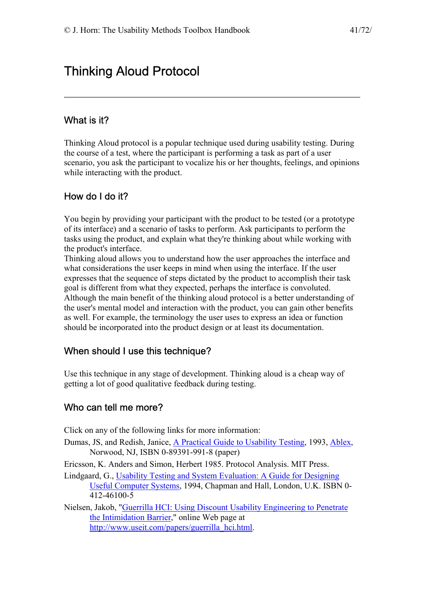# Thinking Aloud Protocol

## What is it?

Thinking Aloud protocol is a popular technique used during usability testing. During the course of a test, where the participant is performing a task as part of a user scenario, you ask the participant to vocalize his or her thoughts, feelings, and opinions while interacting with the product.

## How do I do it?

You begin by providing your participant with the product to be tested (or a prototype of its interface) and a scenario of tasks to perform. Ask participants to perform the tasks using the product, and explain what they're thinking about while working with the product's interface.

Thinking aloud allows you to understand how the user approaches the interface and what considerations the user keeps in mind when using the interface. If the user expresses that the sequence of steps dictated by the product to accomplish their task goal is different from what they expected, perhaps the interface is convoluted. Although the main benefit of the thinking aloud protocol is a better understanding of the user's mental model and interaction with the product, you can gain other benefits as well. For example, the terminology the user uses to express an idea or function should be incorporated into the product design or at least its documentation.

#### When should I use this technique?

Use this technique in any stage of development. Thinking aloud is a cheap way of getting a lot of good qualitative feedback during testing.

## Who can tell me more?

Click on any of the following links for more information:

Dumas, JS, and Redish, Janice, [A Practical Guide to Usability Testing](http://www.amazon.com/exec/obidos/ASIN/089391990X/theusabilitymeth), 1993, [Ablex,](http://ablex.com/) Norwood, NJ, ISBN 0-89391-991-8 (paper)

Ericsson, K. Anders and Simon, Herbert 1985. Protocol Analysis. MIT Press.

Lindgaard, G., [Usability Testing and System Evaluation: A Guide for Designing](http://www.amazon.com/exec/obidos/quicksearch-query/002-7963698-4776821/theusabilitymeth)  [Useful Computer Systems,](http://www.amazon.com/exec/obidos/quicksearch-query/002-7963698-4776821/theusabilitymeth) 1994, Chapman and Hall, London, U.K. ISBN 0- 412-46100-5

Nielsen, Jakob, ["Guerrilla HCI: Using Discount Usability Engineering to Penetrate](http://www.useit.com/papers/guerrilla_hci.html)  [the Intimidation Barrier,](http://www.useit.com/papers/guerrilla_hci.html)" online Web page at [http://www.useit.com/papers/guerrilla\\_hci.html](http://www.useit.com/papers/guerrilla_hci.html).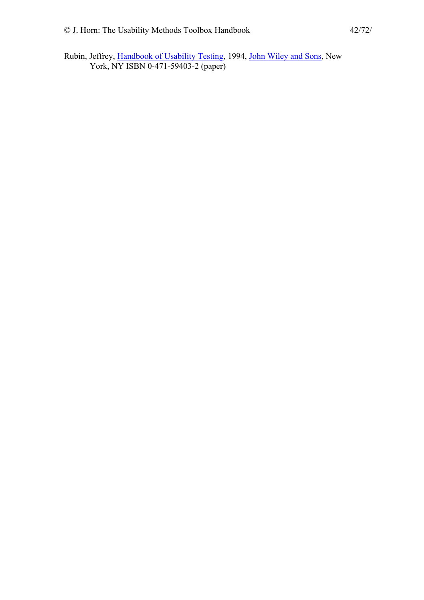Rubin, Jeffrey, [Handbook of Usability Testing,](http://www.amazon.com/exec/obidos/ASIN/0471594032/theusabilitymeth) 1994, [John Wiley and Sons](http://www.wiley.com/), New York, NY ISBN 0-471-59403-2 (paper)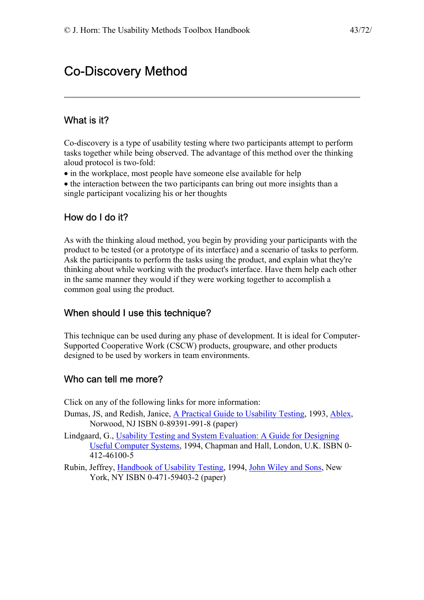# Co-Discovery Method

#### What is it?

Co-discovery is a type of usability testing where two participants attempt to perform tasks together while being observed. The advantage of this method over the thinking aloud protocol is two-fold:

- in the workplace, most people have someone else available for help
- the interaction between the two participants can bring out more insights than a single participant vocalizing his or her thoughts

### How do I do it?

As with the thinking aloud method, you begin by providing your participants with the product to be tested (or a prototype of its interface) and a scenario of tasks to perform. Ask the participants to perform the tasks using the product, and explain what they're thinking about while working with the product's interface. Have them help each other in the same manner they would if they were working together to accomplish a common goal using the product.

#### When should I use this technique?

This technique can be used during any phase of development. It is ideal for Computer-Supported Cooperative Work (CSCW) products, groupware, and other products designed to be used by workers in team environments.

#### Who can tell me more?

Click on any of the following links for more information:

- Dumas, JS, and Redish, Janice, [A Practical Guide to Usability Testing](http://www.amazon.com/exec/obidos/ASIN/089391990X/theusabilitymeth), 1993, [Ablex,](http://ablex.com/) Norwood, NJ ISBN 0-89391-991-8 (paper)
- Lindgaard, G., [Usability Testing and System Evaluation: A Guide for Designing](http://www.amazon.com/exec/obidos/quicksearch-query/002-7963698-4776821/theusabilitymeth)  [Useful Computer Systems,](http://www.amazon.com/exec/obidos/quicksearch-query/002-7963698-4776821/theusabilitymeth) 1994, Chapman and Hall, London, U.K. ISBN 0- 412-46100-5
- Rubin, Jeffrey, [Handbook of Usability Testing,](http://www.amazon.com/exec/obidos/ASIN/0471594032/theusabilitymeth) 1994, [John Wiley and Sons](http://www.wiley.com/), New York, NY ISBN 0-471-59403-2 (paper)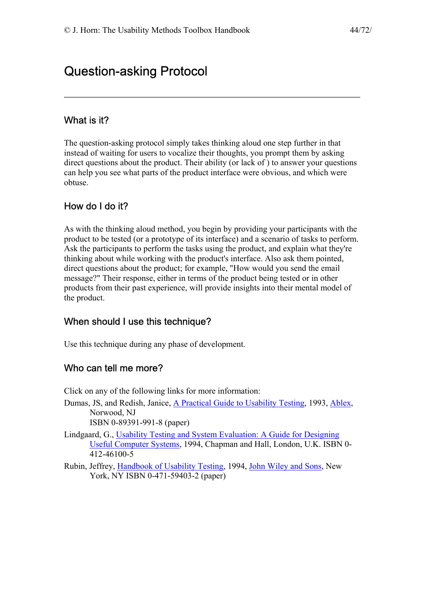# Question-asking Protocol

#### What is it?

The question-asking protocol simply takes thinking aloud one step further in that instead of waiting for users to vocalize their thoughts, you prompt them by asking direct questions about the product. Their ability (or lack of ) to answer your questions can help you see what parts of the product interface were obvious, and which were obtuse.

### How do I do it?

As with the thinking aloud method, you begin by providing your participants with the product to be tested (or a prototype of its interface) and a scenario of tasks to perform. Ask the participants to perform the tasks using the product, and explain what they're thinking about while working with the product's interface. Also ask them pointed, direct questions about the product; for example, "How would you send the email message?" Their response, either in terms of the product being tested or in other products from their past experience, will provide insights into their mental model of the product.

#### When should I use this technique?

Use this technique during any phase of development.

#### Who can tell me more?

Click on any of the following links for more information:

- Dumas, JS, and Redish, Janice, [A Practical Guide to Usability Testing](http://www.amazon.com/exec/obidos/ASIN/089391990X/theusabilitymeth), 1993, [Ablex,](http://ablex.com/) Norwood, NJ ISBN 0-89391-991-8 (paper)
- Lindgaard, G., [Usability Testing and System Evaluation: A Guide for Designing](http://www.amazon.com/exec/obidos/quicksearch-query/002-7963698-4776821/theusabilitymeth)  [Useful Computer Systems,](http://www.amazon.com/exec/obidos/quicksearch-query/002-7963698-4776821/theusabilitymeth) 1994, Chapman and Hall, London, U.K. ISBN 0- 412-46100-5
- Rubin, Jeffrey, [Handbook of Usability Testing,](http://www.amazon.com/exec/obidos/ASIN/0471594032/theusabilitymeth) 1994, [John Wiley and Sons](http://www.wiley.com/), New York, NY ISBN 0-471-59403-2 (paper)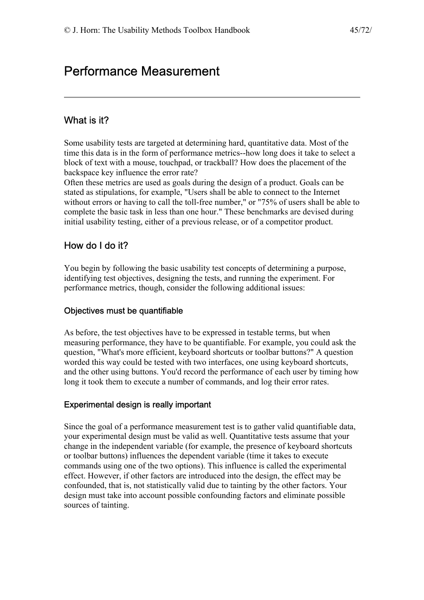# Performance Measurement

# What is it?

Some usability tests are targeted at determining hard, quantitative data. Most of the time this data is in the form of performance metrics--how long does it take to select a block of text with a mouse, touchpad, or trackball? How does the placement of the backspace key influence the error rate?

Often these metrics are used as goals during the design of a product. Goals can be stated as stipulations, for example, "Users shall be able to connect to the Internet without errors or having to call the toll-free number," or "75% of users shall be able to complete the basic task in less than one hour." These benchmarks are devised during initial usability testing, either of a previous release, or of a competitor product.

## How do I do it?

You begin by following the basic usability test concepts of determining a purpose, identifying test objectives, designing the tests, and running the experiment. For performance metrics, though, consider the following additional issues:

#### Objectives must be quantifiable

As before, the test objectives have to be expressed in testable terms, but when measuring performance, they have to be quantifiable. For example, you could ask the question, "What's more efficient, keyboard shortcuts or toolbar buttons?" A question worded this way could be tested with two interfaces, one using keyboard shortcuts, and the other using buttons. You'd record the performance of each user by timing how long it took them to execute a number of commands, and log their error rates.

#### Experimental design is really important

Since the goal of a performance measurement test is to gather valid quantifiable data, your experimental design must be valid as well. Quantitative tests assume that your change in the independent variable (for example, the presence of keyboard shortcuts or toolbar buttons) influences the dependent variable (time it takes to execute commands using one of the two options). This influence is called the experimental effect. However, if other factors are introduced into the design, the effect may be confounded, that is, not statistically valid due to tainting by the other factors. Your design must take into account possible confounding factors and eliminate possible sources of tainting.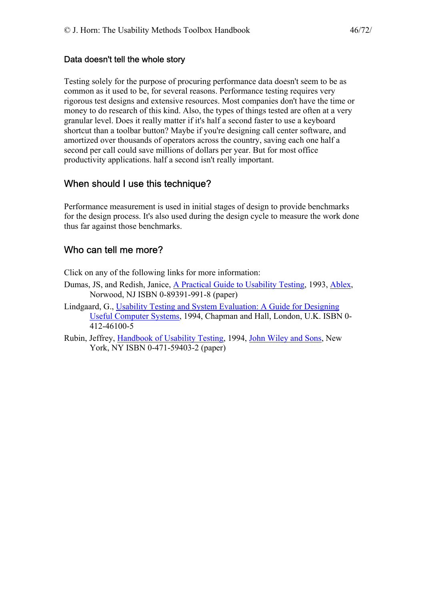#### Data doesn't tell the whole story

Testing solely for the purpose of procuring performance data doesn't seem to be as common as it used to be, for several reasons. Performance testing requires very rigorous test designs and extensive resources. Most companies don't have the time or money to do research of this kind. Also, the types of things tested are often at a very granular level. Does it really matter if it's half a second faster to use a keyboard shortcut than a toolbar button? Maybe if you're designing call center software, and amortized over thousands of operators across the country, saving each one half a second per call could save millions of dollars per year. But for most office productivity applications. half a second isn't really important.

## When should I use this technique?

Performance measurement is used in initial stages of design to provide benchmarks for the design process. It's also used during the design cycle to measure the work done thus far against those benchmarks.

### Who can tell me more?

Click on any of the following links for more information:

- Dumas, JS, and Redish, Janice, [A Practical Guide to Usability Testing](http://www.amazon.com/exec/obidos/ASIN/089391990X/theusabilitymeth), 1993, [Ablex,](http://ablex.com/) Norwood, NJ ISBN 0-89391-991-8 (paper)
- Lindgaard, G., [Usability Testing and System Evaluation: A Guide for Designing](http://www.amazon.com/exec/obidos/quicksearch-query/002-7963698-4776821/theusabilitymeth)  [Useful Computer Systems,](http://www.amazon.com/exec/obidos/quicksearch-query/002-7963698-4776821/theusabilitymeth) 1994, Chapman and Hall, London, U.K. ISBN 0- 412-46100-5
- Rubin, Jeffrey, [Handbook of Usability Testing,](http://www.amazon.com/exec/obidos/ASIN/0471594032/theusabilitymeth) 1994, [John Wiley and Sons](http://www.wiley.com/), New York, NY ISBN 0-471-59403-2 (paper)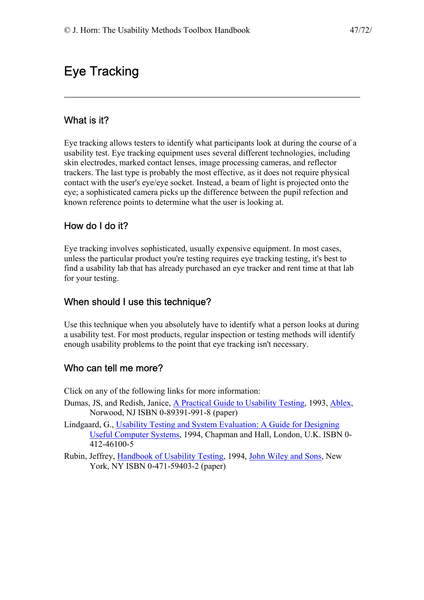# Eye Tracking

## What is it?

Eye tracking allows testers to identify what participants look at during the course of a usability test. Eye tracking equipment uses several different technologies, including skin electrodes, marked contact lenses, image processing cameras, and reflector trackers. The last type is probably the most effective, as it does not require physical contact with the user's eye/eye socket. Instead, a beam of light is projected onto the eye; a sophisticated camera picks up the difference between the pupil refection and known reference points to determine what the user is looking at.

## How do I do it?

Eye tracking involves sophisticated, usually expensive equipment. In most cases, unless the particular product you're testing requires eye tracking testing, it's best to find a usability lab that has already purchased an eye tracker and rent time at that lab for your testing.

### When should I use this technique?

Use this technique when you absolutely have to identify what a person looks at during a usability test. For most products, regular inspection or testing methods will identify enough usability problems to the point that eye tracking isn't necessary.

## Who can tell me more?

Click on any of the following links for more information:

- Dumas, JS, and Redish, Janice, [A Practical Guide to Usability Testing](http://www.amazon.com/exec/obidos/ASIN/089391990X/theusabilitymeth), 1993, [Ablex,](http://ablex.com/) Norwood, NJ ISBN 0-89391-991-8 (paper)
- Lindgaard, G., [Usability Testing and System Evaluation: A Guide for Designing](http://www.amazon.com/exec/obidos/quicksearch-query/002-7963698-4776821/theusabilitymeth)  [Useful Computer Systems,](http://www.amazon.com/exec/obidos/quicksearch-query/002-7963698-4776821/theusabilitymeth) 1994, Chapman and Hall, London, U.K. ISBN 0- 412-46100-5
- Rubin, Jeffrey, [Handbook of Usability Testing,](http://www.amazon.com/exec/obidos/ASIN/0471594032/theusabilitymeth) 1994, [John Wiley and Sons](http://www.wiley.com/), New York, NY ISBN 0-471-59403-2 (paper)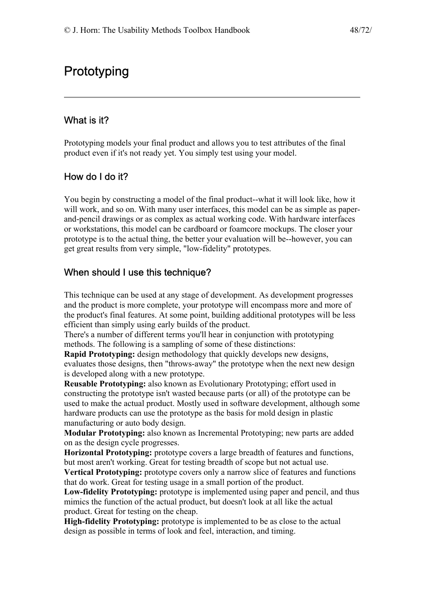# **Prototyping**

#### What is it?

Prototyping models your final product and allows you to test attributes of the final product even if it's not ready yet. You simply test using your model.

#### How do I do it?

You begin by constructing a model of the final product--what it will look like, how it will work, and so on. With many user interfaces, this model can be as simple as paperand-pencil drawings or as complex as actual working code. With hardware interfaces or workstations, this model can be cardboard or foamcore mockups. The closer your prototype is to the actual thing, the better your evaluation will be--however, you can get great results from very simple, "low-fidelity" prototypes.

#### When should I use this technique?

This technique can be used at any stage of development. As development progresses and the product is more complete, your prototype will encompass more and more of the product's final features. At some point, building additional prototypes will be less efficient than simply using early builds of the product.

There's a number of different terms you'll hear in conjunction with prototyping methods. The following is a sampling of some of these distinctions:

**Rapid Prototyping:** design methodology that quickly develops new designs, evaluates those designs, then "throws-away" the prototype when the next new design is developed along with a new prototype.

**Reusable Prototyping:** also known as Evolutionary Prototyping; effort used in constructing the prototype isn't wasted because parts (or all) of the prototype can be used to make the actual product. Mostly used in software development, although some hardware products can use the prototype as the basis for mold design in plastic manufacturing or auto body design.

**Modular Prototyping:** also known as Incremental Prototyping; new parts are added on as the design cycle progresses.

**Horizontal Prototyping:** prototype covers a large breadth of features and functions, but most aren't working. Great for testing breadth of scope but not actual use.

**Vertical Prototyping:** prototype covers only a narrow slice of features and functions that do work. Great for testing usage in a small portion of the product.

**Low-fidelity Prototyping:** prototype is implemented using paper and pencil, and thus mimics the function of the actual product, but doesn't look at all like the actual product. Great for testing on the cheap.

**High-fidelity Prototyping:** prototype is implemented to be as close to the actual design as possible in terms of look and feel, interaction, and timing.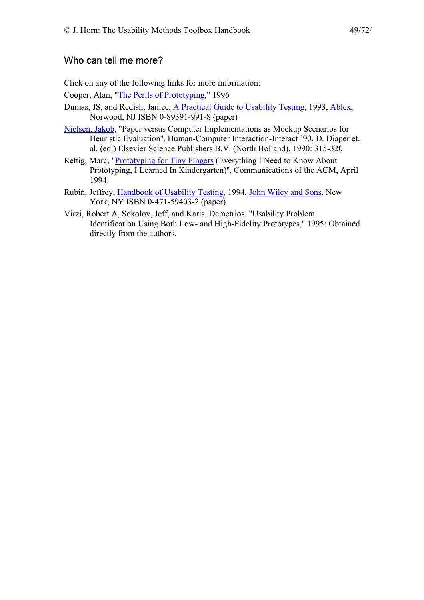#### Who can tell me more?

Click on any of the following links for more information:

Cooper, Alan, ["The Perils of Prototyping](http://www.cooper.com/articles/vbpj_perils_of_prototyping.html)," 1996

- Dumas, JS, and Redish, Janice, [A Practical Guide to Usability Testing](http://www.amazon.com/exec/obidos/ASIN/089391990X/theusabilitymeth), 1993, [Ablex,](http://ablex.com/) Norwood, NJ ISBN 0-89391-991-8 (paper)
- [Nielsen, Jakob,](http://www.sun.com/columns/jakob/) "Paper versus Computer Implementations as Mockup Scenarios for Heuristic Evaluation", Human-Computer Interaction-Interact `90, D. Diaper et. al. (ed.) Elsevier Science Publishers B.V. (North Holland), 1990: 315-320
- Rettig, Marc, ["Prototyping for Tiny Fingers](http://www.ac.com/eagle/lofidoc.htm) (Everything I Need to Know About Prototyping, I Learned In Kindergarten)'', Communications of the ACM, April 1994.
- Rubin, Jeffrey, [Handbook of Usability Testing,](http://www.amazon.com/exec/obidos/ASIN/0471594032/theusabilitymeth) 1994, [John Wiley and Sons](http://www.wiley.com/), New York, NY ISBN 0-471-59403-2 (paper)
- Virzi, Robert A, Sokolov, Jeff, and Karis, Demetrios. "Usability Problem Identification Using Both Low- and High-Fidelity Prototypes,'' 1995: Obtained directly from the authors.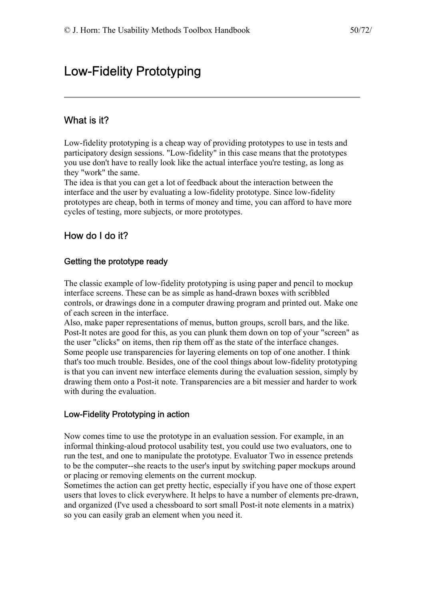# Low-Fidelity Prototyping

### What is it?

Low-fidelity prototyping is a cheap way of providing prototypes to use in tests and participatory design sessions. "Low-fidelity" in this case means that the prototypes you use don't have to really look like the actual interface you're testing, as long as they "work" the same.

The idea is that you can get a lot of feedback about the interaction between the interface and the user by evaluating a low-fidelity prototype. Since low-fidelity prototypes are cheap, both in terms of money and time, you can afford to have more cycles of testing, more subjects, or more prototypes.

#### How do I do it?

#### Getting the prototype ready

The classic example of low-fidelity prototyping is using paper and pencil to mockup interface screens. These can be as simple as hand-drawn boxes with scribbled controls, or drawings done in a computer drawing program and printed out. Make one of each screen in the interface.

Also, make paper representations of menus, button groups, scroll bars, and the like. Post-It notes are good for this, as you can plunk them down on top of your "screen" as the user "clicks" on items, then rip them off as the state of the interface changes. Some people use transparencies for layering elements on top of one another. I think that's too much trouble. Besides, one of the cool things about low-fidelity prototyping is that you can invent new interface elements during the evaluation session, simply by drawing them onto a Post-it note. Transparencies are a bit messier and harder to work with during the evaluation.

#### Low-Fidelity Prototyping in action

Now comes time to use the prototype in an evaluation session. For example, in an informal thinking-aloud protocol usability test, you could use two evaluators, one to run the test, and one to manipulate the prototype. Evaluator Two in essence pretends to be the computer--she reacts to the user's input by switching paper mockups around or placing or removing elements on the current mockup.

Sometimes the action can get pretty hectic, especially if you have one of those expert users that loves to click everywhere. It helps to have a number of elements pre-drawn, and organized (I've used a chessboard to sort small Post-it note elements in a matrix) so you can easily grab an element when you need it.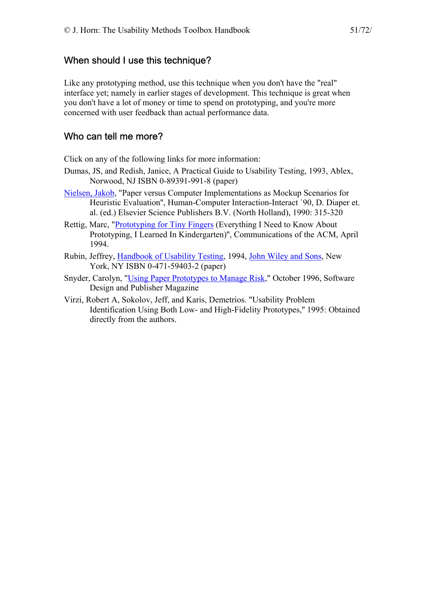### When should I use this technique?

Like any prototyping method, use this technique when you don't have the "real" interface yet; namely in earlier stages of development. This technique is great when you don't have a lot of money or time to spend on prototyping, and you're more concerned with user feedback than actual performance data.

### Who can tell me more?

Click on any of the following links for more information:

- Dumas, JS, and Redish, Janice, [A Practical Guide to Usability Testing](http://www.amazon.com/exec/obidos/ASIN/089391990X/theusabilitymeth), 1993, [Ablex,](http://ablex.com/) Norwood, NJ ISBN 0-89391-991-8 (paper)
- [Nielsen, Jakob,](http://www.sun.com/columns/jakob/) "Paper versus Computer Implementations as Mockup Scenarios for Heuristic Evaluation'', Human-Computer Interaction-Interact `90, D. Diaper et. al. (ed.) Elsevier Science Publishers B.V. (North Holland), 1990: 315-320
- Rettig, Marc, ["Prototyping for Tiny Fingers](http://www.ac.com/eagle/lofidoc.htm) (Everything I Need to Know About Prototyping, I Learned In Kindergarten)'', Communications of the ACM, April 1994.
- Rubin, Jeffrey, [Handbook of Usability Testing,](http://www.amazon.com/exec/obidos/ASIN/0471594032/theusabilitymeth) 1994, [John Wiley and Sons](http://www.wiley.com/), New York, NY ISBN 0-471-59403-2 (paper)
- Snyder, Carolyn, ["Using Paper Prototypes to Manage Risk,](http://world.std.com/~uieweb/paper.htm)" October 1996, Software Design and Publisher Magazine
- Virzi, Robert A, Sokolov, Jeff, and Karis, Demetrios. "Usability Problem Identification Using Both Low- and High-Fidelity Prototypes,'' 1995: Obtained directly from the authors.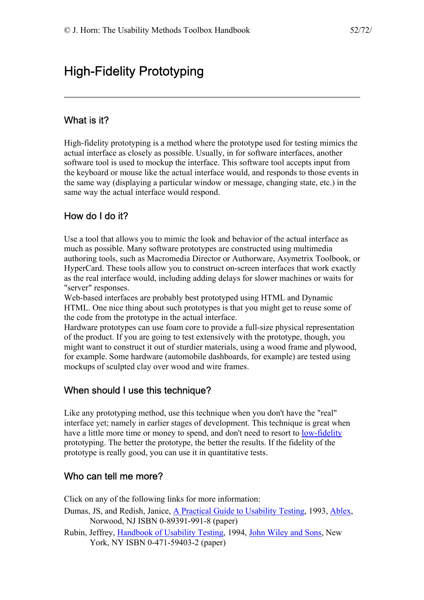# High-Fidelity Prototyping

#### What is it?

High-fidelity prototyping is a method where the prototype used for testing mimics the actual interface as closely as possible. Usually, in for software interfaces, another software tool is used to mockup the interface. This software tool accepts input from the keyboard or mouse like the actual interface would, and responds to those events in the same way (displaying a particular window or message, changing state, etc.) in the same way the actual interface would respond.

## How do I do it?

Use a tool that allows you to mimic the look and behavior of the actual interface as much as possible. Many software prototypes are constructed using multimedia authoring tools, such as Macromedia Director or Authorware, Asymetrix Toolbook, or HyperCard. These tools allow you to construct on-screen interfaces that work exactly as the real interface would, including adding delays for slower machines or waits for "server" responses.

Web-based interfaces are probably best prototyped using HTML and Dynamic HTML. One nice thing about such prototypes is that you might get to reuse some of the code from the prototype in the actual interface.

Hardware prototypes can use foam core to provide a full-size physical representation of the product. If you are going to test extensively with the prototype, though, you might want to construct it out of sturdier materials, using a wood frame and plywood, for example. Some hardware (automobile dashboards, for example) are tested using mockups of sculpted clay over wood and wire frames.

#### When should I use this technique?

Like any prototyping method, use this technique when you don't have the "real" interface yet; namely in earlier stages of development. This technique is great when have a little more time or money to spend, and don't need to resort to [low-fidelity](http://jthom.best.vwh.net/usability/lofiprto.htm) prototyping. The better the prototype, the better the results. If the fidelity of the prototype is really good, you can use it in quantitative tests.

#### Who can tell me more?

Click on any of the following links for more information:

- Dumas, JS, and Redish, Janice, [A Practical Guide to Usability Testing](http://www.amazon.com/exec/obidos/ASIN/089391990X/theusabilitymeth), 1993, [Ablex,](http://ablex.com/) Norwood, NJ ISBN 0-89391-991-8 (paper)
- Rubin, Jeffrey, [Handbook of Usability Testing,](http://www.amazon.com/exec/obidos/ASIN/0471594032/theusabilitymeth) 1994, [John Wiley and Sons](http://www.wiley.com/), New York, NY ISBN 0-471-59403-2 (paper)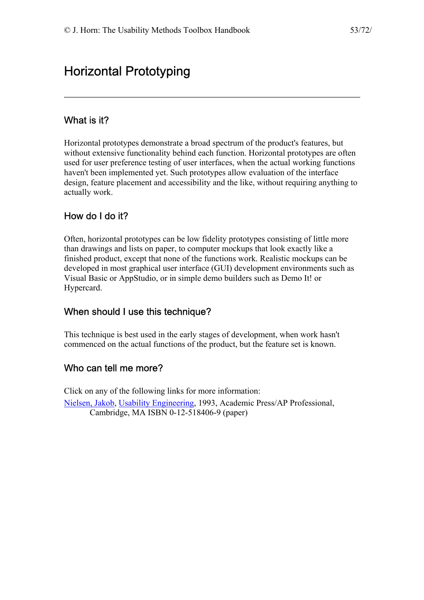# Horizontal Prototyping

## What is it?

Horizontal prototypes demonstrate a broad spectrum of the product's features, but without extensive functionality behind each function. Horizontal prototypes are often used for user preference testing of user interfaces, when the actual working functions haven't been implemented yet. Such prototypes allow evaluation of the interface design, feature placement and accessibility and the like, without requiring anything to actually work.

## How do I do it?

Often, horizontal prototypes can be low fidelity prototypes consisting of little more than drawings and lists on paper, to computer mockups that look exactly like a finished product, except that none of the functions work. Realistic mockups can be developed in most graphical user interface (GUI) development environments such as Visual Basic or AppStudio, or in simple demo builders such as Demo It! or Hypercard.

## When should I use this technique?

This technique is best used in the early stages of development, when work hasn't commenced on the actual functions of the product, but the feature set is known.

#### Who can tell me more?

Click on any of the following links for more information: [Nielsen, Jakob,](http://www.sun.com/columns/jakob/) [Usability Engineering](http://www.amazon.com/exec/obidos/ASIN/0125184069/theusabilitymeth), 1993, Academic Press/AP Professional, Cambridge, MA ISBN 0-12-518406-9 (paper)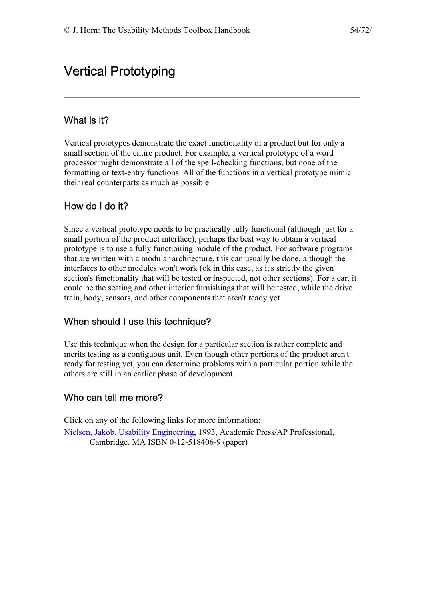# Vertical Prototyping

## What is it?

Vertical prototypes demonstrate the exact functionality of a product but for only a small section of the entire product. For example, a vertical prototype of a word processor might demonstrate all of the spell-checking functions, but none of the formatting or text-entry functions. All of the functions in a vertical prototype mimic their real counterparts as much as possible.

## How do I do it?

Since a vertical prototype needs to be practically fully functional (although just for a small portion of the product interface), perhaps the best way to obtain a vertical prototype is to use a fully functioning module of the product. For software programs that are written with a modular architecture, this can usually be done, although the interfaces to other modules won't work (ok in this case, as it's strictly the given section's functionality that will be tested or inspected, not other sections). For a car, it could be the seating and other interior furnishings that will be tested, while the drive train, body, sensors, and other components that aren't ready yet.

## When should I use this technique?

Use this technique when the design for a particular section is rather complete and merits testing as a contiguous unit. Even though other portions of the product aren't ready for testing yet, you can determine problems with a particular portion while the others are still in an earlier phase of development.

## Who can tell me more?

Click on any of the following links for more information: [Nielsen, Jakob,](http://www.sun.com/columns/jakob/) [Usability Engineering](http://www.amazon.com/exec/obidos/ASIN/0125184069/theusabilitymeth), 1993, Academic Press/AP Professional, Cambridge, MA ISBN 0-12-518406-9 (paper)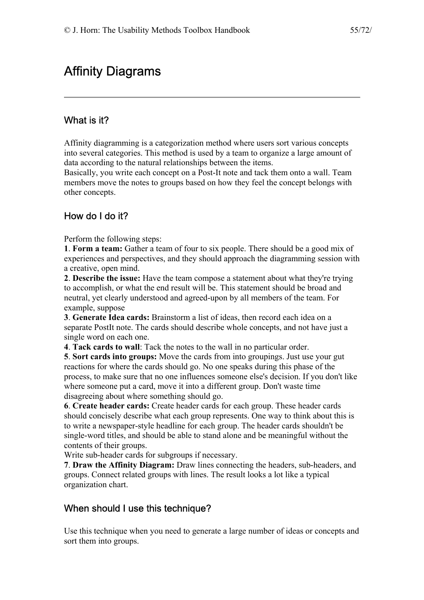# Affinity Diagrams

## What is it?

Affinity diagramming is a categorization method where users sort various concepts into several categories. This method is used by a team to organize a large amount of data according to the natural relationships between the items.

Basically, you write each concept on a Post-It note and tack them onto a wall. Team members move the notes to groups based on how they feel the concept belongs with other concepts.

# How do I do it?

Perform the following steps:

**1**. **Form a team:** Gather a team of four to six people. There should be a good mix of experiences and perspectives, and they should approach the diagramming session with a creative, open mind.

**2**. **Describe the issue:** Have the team compose a statement about what they're trying to accomplish, or what the end result will be. This statement should be broad and neutral, yet clearly understood and agreed-upon by all members of the team. For example, suppose

**3**. **Generate Idea cards:** Brainstorm a list of ideas, then record each idea on a separate PostIt note. The cards should describe whole concepts, and not have just a single word on each one.

**4**. **Tack cards to wall**: Tack the notes to the wall in no particular order.

**5**. **Sort cards into groups:** Move the cards from into groupings. Just use your gut reactions for where the cards should go. No one speaks during this phase of the process, to make sure that no one influences someone else's decision. If you don't like where someone put a card, move it into a different group. Don't waste time disagreeing about where something should go.

**6**. **Create header cards:** Create header cards for each group. These header cards should concisely describe what each group represents. One way to think about this is to write a newspaper-style headline for each group. The header cards shouldn't be single-word titles, and should be able to stand alone and be meaningful without the contents of their groups.

Write sub-header cards for subgroups if necessary.

**7**. **Draw the Affinity Diagram:** Draw lines connecting the headers, sub-headers, and groups. Connect related groups with lines. The result looks a lot like a typical organization chart.

## When should I use this technique?

Use this technique when you need to generate a large number of ideas or concepts and sort them into groups.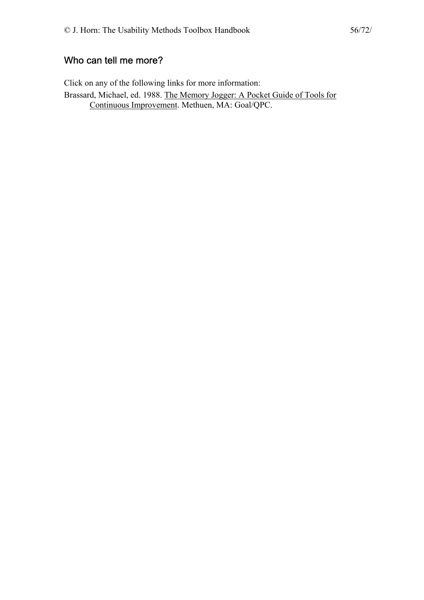## Who can tell me more?

Click on any of the following links for more information: Brassard, Michael, ed. 1988. [The Memory Jogger: A Pocket Guide of Tools for](http://www.amazon.com/exec/obidos/ASIN/1879364034/theusabilitymeth)  [Continuous Improvement.](http://www.amazon.com/exec/obidos/ASIN/1879364034/theusabilitymeth) Methuen, MA: Goal/QPC.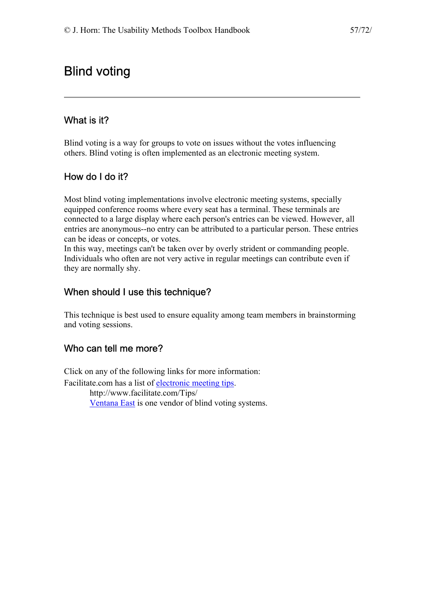# Blind voting

## What is it?

Blind voting is a way for groups to vote on issues without the votes influencing others. Blind voting is often implemented as an electronic meeting system.

## How do I do it?

Most blind voting implementations involve electronic meeting systems, specially equipped conference rooms where every seat has a terminal. These terminals are connected to a large display where each person's entries can be viewed. However, all entries are anonymous--no entry can be attributed to a particular person. These entries can be ideas or concepts, or votes.

In this way, meetings can't be taken over by overly strident or commanding people. Individuals who often are not very active in regular meetings can contribute even if they are normally shy.

### When should I use this technique?

This technique is best used to ensure equality among team members in brainstorming and voting sessions.

## Who can tell me more?

Click on any of the following links for more information: Facilitate.com has a list of [electronic meeting tips](http://www.facilitate.com/Tips/). http://www.facilitate.com/Tips/ [Ventana East](http://www.ventana-east.com/gswininf.htm) is one vendor of blind voting systems.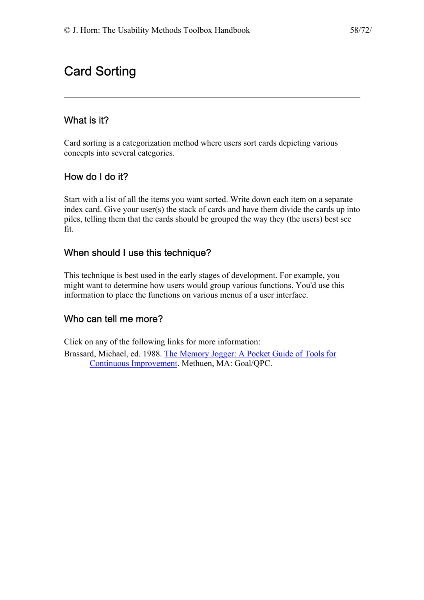# Card Sorting

## What is it?

Card sorting is a categorization method where users sort cards depicting various concepts into several categories.

## How do I do it?

Start with a list of all the items you want sorted. Write down each item on a separate index card. Give your user(s) the stack of cards and have them divide the cards up into piles, telling them that the cards should be grouped the way they (the users) best see fit.

### When should I use this technique?

This technique is best used in the early stages of development. For example, you might want to determine how users would group various functions. You'd use this information to place the functions on various menus of a user interface.

## Who can tell me more?

Click on any of the following links for more information:

Brassard, Michael, ed. 1988. [The Memory Jogger: A Pocket Guide of Tools for](http://www.amazon.com/exec/obidos/ASIN/1879364034/theusabilitymeth)  [Continuous Improvement.](http://www.amazon.com/exec/obidos/ASIN/1879364034/theusabilitymeth) Methuen, MA: Goal/QPC.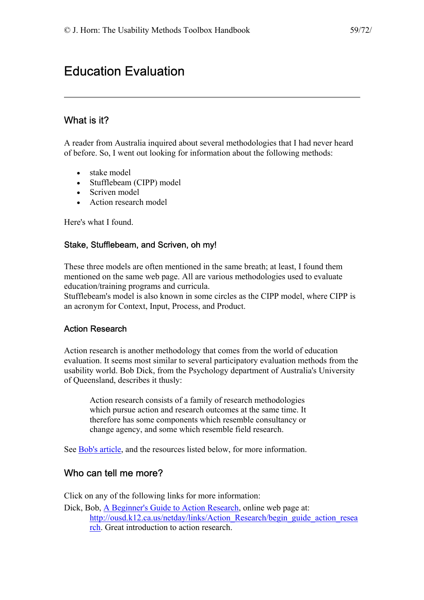# Education Evaluation

## What is it?

A reader from Australia inquired about several methodologies that I had never heard of before. So, I went out looking for information about the following methods:

- stake model
- Stufflebeam (CIPP) model
- Scriven model
- Action research model

Here's what I found.

#### Stake, Stufflebeam, and Scriven, oh my!

These three models are often mentioned in the same breath; at least, I found them mentioned on the same web page. All are various methodologies used to evaluate education/training programs and curricula.

Stufflebeam's model is also known in some circles as the CIPP model, where CIPP is an acronym for Context, Input, Process, and Product.

#### Action Research

Action research is another methodology that comes from the world of education evaluation. It seems most similar to several participatory evaluation methods from the usability world. Bob Dick, from the Psychology department of Australia's University of Queensland, describes it thusly:

Action research consists of a family of research methodologies which pursue action and research outcomes at the same time. It therefore has some components which resemble consultancy or change agency, and some which resemble field research.

See [Bob's article](http://ousd.k12.ca.us/netday/links/Action_Research/begin_guide_action_research), and the resources listed below, for more information.

#### Who can tell me more?

Click on any of the following links for more information:

Dick, Bob, [A Beginner's Guide to Action Research](http://ousd.k12.ca.us/netday/links/Action_Research/begin_guide_action_research), online web page at: [http://ousd.k12.ca.us/netday/links/Action\\_Research/begin\\_guide\\_action\\_resea](http://ousd.k12.ca.us/netday/links/Action_Research/begin_guide_action_research) [rch](http://ousd.k12.ca.us/netday/links/Action_Research/begin_guide_action_research). Great introduction to action research.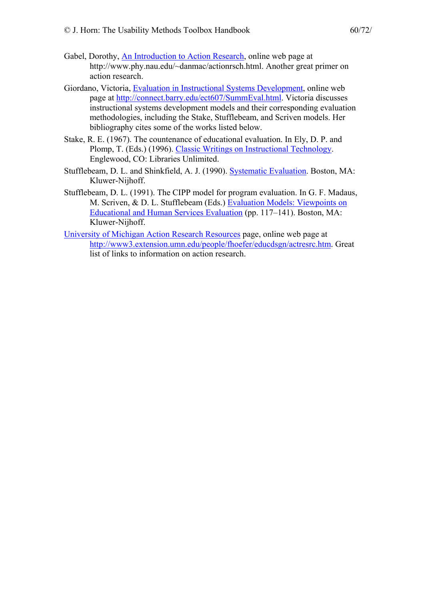- Gabel, Dorothy, [An Introduction to Action Research,](http://www.phy.nau.edu/~danmac/actionrsch.html) online web page at http://www.phy.nau.edu/~danmac/actionrsch.html. Another great primer on action research.
- Giordano, Victoria, [Evaluation in Instructional Systems Development](http://connect.barry.edu/ect607/SummEval.html), online web page at [http://connect.barry.edu/ect607/SummEval.html.](http://connect.barry.edu/ect607/SummEval.html) Victoria discusses instructional systems development models and their corresponding evaluation methodologies, including the Stake, Stufflebeam, and Scriven models. Her bibliography cites some of the works listed below.
- Stake, R. E. (1967). The countenance of educational evaluation. In Ely, D. P. and Plomp, T. (Eds.) (1996). [Classic Writings on Instructional Technology](http://www.amazon.com/exec/obidos/ASIN/1563082306/theusabilitymeth). Englewood, CO: Libraries Unlimited.
- Stufflebeam, D. L. and Shinkfield, A. J. (1990). [Systematic Evaluation.](http://www.amazon.com/exec/obidos/ASIN/0898381584/theusabilitymeth) Boston, MA: Kluwer-Nijhoff.
- Stufflebeam, D. L. (1991). The CIPP model for program evaluation. In G. F. Madaus, M. Scriven, & D. L. Stufflebeam (Eds.) [Evaluation Models: Viewpoints on](http://www.amazon.com/exec/obidos/ASIN/0898381231/theusabilitymeth)  [Educational and Human Services Evaluation](http://www.amazon.com/exec/obidos/ASIN/0898381231/theusabilitymeth) (pp. 117–141). Boston, MA: Kluwer-Nijhoff.
- [University of Michigan Action Research Resources](http://www3.extension.umn.edu/people/fhoefer/educdsgn/actresrc.htm) page, online web page at [http://www3.extension.umn.edu/people/fhoefer/educdsgn/actresrc.htm.](http://www3.extension.umn.edu/people/fhoefer/educdsgn/actresrc.htm) Great list of links to information on action research.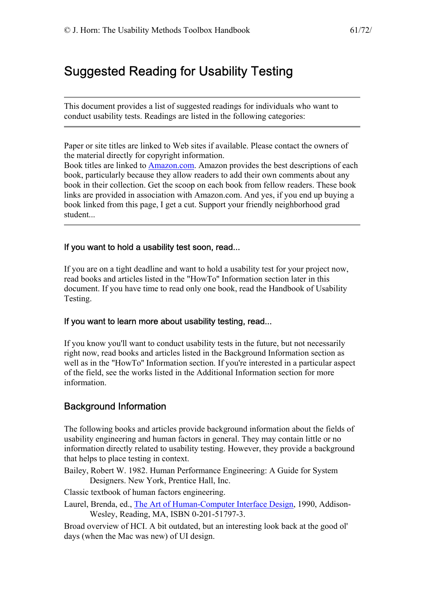# Suggested Reading for Usability Testing

This document provides a list of suggested readings for individuals who want to conduct usability tests. Readings are listed in the following categories:

Paper or site titles are linked to Web sites if available. Please contact the owners of the material directly for copyright information.

Book titles are linked to [Amazon.com.](http://www.amazon.com/exec/obidos/redirect-home/theusabilitymeth) Amazon provides the best descriptions of each book, particularly because they allow readers to add their own comments about any book in their collection. Get the scoop on each book from fellow readers. These book links are provided in association with Amazon.com. And yes, if you end up buying a book linked from this page, I get a cut. Support your friendly neighborhood grad student...

#### If you want to hold a usability test soon, read...

If you are on a tight deadline and want to hold a usability test for your project now, read books and articles listed in the "HowTo'' Information section later in this document. If you have time to read only one book, read the Handbook of Usability Testing.

#### If you want to learn more about usability testing, read...

If you know you'll want to conduct usability tests in the future, but not necessarily right now, read books and articles listed in the Background Information section as well as in the "HowTo" Information section. If you're interested in a particular aspect of the field, see the works listed in the Additional Information section for more information.

#### Background Information

The following books and articles provide background information about the fields of usability engineering and human factors in general. They may contain little or no information directly related to usability testing. However, they provide a background that helps to place testing in context.

Bailey, Robert W. 1982. Human Performance Engineering: A Guide for System Designers. New York, Prentice Hall, Inc.

Classic textbook of human factors engineering.

Laurel, Brenda, ed., [The Art of Human-Computer Interface Design,](http://www.amazon.com/exec/obidos/ASIN/0201517973/theusabilitymeth) 1990, Addison-Wesley, Reading, MA, ISBN 0-201-51797-3.

Broad overview of HCI. A bit outdated, but an interesting look back at the good ol' days (when the Mac was new) of UI design.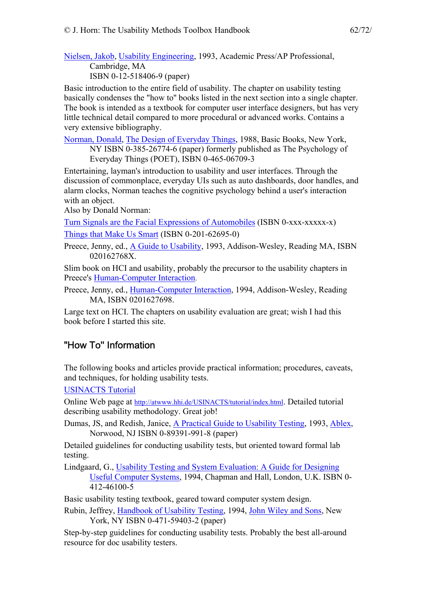[Nielsen, Jakob,](http://www.sun.com/columns/jakob/) [Usability Engineering](http://www.amazon.com/exec/obidos/ASIN/0125184069/theusabilitymeth), 1993, Academic Press/AP Professional, Cambridge, MA ISBN 0-12-518406-9 (paper)

Basic introduction to the entire field of usability. The chapter on usability testing basically condenses the "how to'' books listed in the next section into a single chapter. The book is intended as a textbook for computer user interface designers, but has very little technical detail compared to more procedural or advanced works. Contains a very extensive bibliography.

[Norman, Donald,](http://www.atg.apple.com/Norman/default.html) [The Design of Everyday Things](http://www.amazon.com/exec/obidos/ASIN/0385267746/theusabilitymeth), 1988, Basic Books, New York, NY ISBN 0-385-26774-6 (paper) formerly published as The Psychology of Everyday Things (POET), ISBN 0-465-06709-3

Entertaining, layman's introduction to usability and user interfaces. Through the discussion of commonplace, everyday UIs such as auto dashboards, door handles, and alarm clocks, Norman teaches the cognitive psychology behind a user's interaction with an object.

Also by Donald Norman:

[Turn Signals are the Facial Expressions of Automobiles](http://www.amazon.com/exec/obidos/ASIN/020162236X/theusabilitymeth) (ISBN 0-xxx-xxxxx-x) [Things that Make Us Smart](http://www.amazon.com/exec/obidos/ASIN/0201626950/theusabilitymeth) (ISBN 0-201-62695-0)

Preece, Jenny, ed., [A Guide to Usability,](http://www.amazon.com/exec/obidos/ASIN/020162768X/theusabilitymeth) 1993, Addison-Wesley, Reading MA, ISBN 020162768X

Slim book on HCI and usability, probably the precursor to the usability chapters in Preece's [Human-Computer Interaction.](http://jthom.best.vwh.net/usability/)

Preece, Jenny, ed., [Human-Computer Interaction,](http://www.amazon.com/exec/obidos/ASIN/0201627698/theusabilitymeth) 1994, Addison-Wesley, Reading MA, ISBN 0201627698.

Large text on HCI. The chapters on usability evaluation are great; wish I had this book before I started this site.

## "How To'' Information

The following books and articles provide practical information; procedures, caveats, and techniques, for holding usability tests.

[USINACTS Tutorial](http://atwww.hhi.de/USINACTS/tutorial/index.html)

Online Web page at [http://atwww.hhi.de/USINACTS/tutorial/index.html.](http://atwww.hhi.de/USINACTS/tutorial/index.html) Detailed tutorial describing usability methodology. Great job!

Dumas, JS, and Redish, Janice, [A Practical Guide to Usability Testing](http://www.amazon.com/exec/obidos/ASIN/089391990X/theusabilitymeth), 1993, [Ablex,](http://ablex.com/) Norwood, NJ ISBN 0-89391-991-8 (paper)

Detailed guidelines for conducting usability tests, but oriented toward formal lab testing.

Lindgaard, G., [Usability Testing and System Evaluation: A Guide for Designing](http://www.amazon.com/exec/obidos/quicksearch-query/002-7963698-4776821/theusabilitymeth)  [Useful Computer Systems,](http://www.amazon.com/exec/obidos/quicksearch-query/002-7963698-4776821/theusabilitymeth) 1994, Chapman and Hall, London, U.K. ISBN 0- 412-46100-5

Basic usability testing textbook, geared toward computer system design.

Rubin, Jeffrey, [Handbook of Usability Testing,](http://www.amazon.com/exec/obidos/ASIN/0471594032/theusabilitymeth) 1994, [John Wiley and Sons](http://www.wiley.com/), New York, NY ISBN 0-471-59403-2 (paper)

Step-by-step guidelines for conducting usability tests. Probably the best all-around resource for doc usability testers.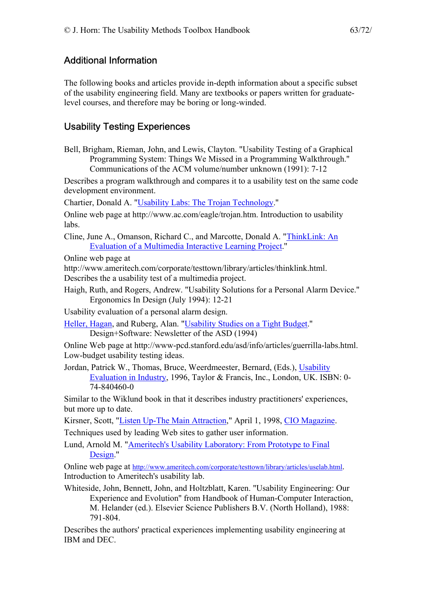### Additional Information

The following books and articles provide in-depth information about a specific subset of the usability engineering field. Many are textbooks or papers written for graduatelevel courses, and therefore may be boring or long-winded.

### Usability Testing Experiences

Bell, Brigham, Rieman, John, and Lewis, Clayton. "Usability Testing of a Graphical Programming System: Things We Missed in a Programming Walkthrough.'' Communications of the ACM volume/number unknown (1991): 7-12

Describes a program walkthrough and compares it to a usability test on the same code development environment.

Chartier, Donald A. ["Usability Labs: The Trojan Technology.](http://www.ac.com/eagle/trojan.htm)''

Online web page at http://www.ac.com/eagle/trojan.htm. Introduction to usability labs.

Cline, June A., Omanson, Richard C., and Marcotte, Donald A. "[ThinkLink: An](http://www.ameritech.com/corporate/testtown/library/articles/thinklink.html)  [Evaluation of a Multimedia Interactive Learning Project.](http://www.ameritech.com/corporate/testtown/library/articles/thinklink.html)''

Online web page at

http://www.ameritech.com/corporate/testtown/library/articles/thinklink.html.

Describes the a usability test of a multimedia project.

Haigh, Ruth, and Rogers, Andrew. "Usability Solutions for a Personal Alarm Device.'' Ergonomics In Design (July 1994): 12-21

Usability evaluation of a personal alarm design.

[Heller, Hagan](http://home.netscape.com/people/hagan/index.html), and Ruberg, Alan. ["Usability Studies on a Tight Budget.](http://www-pcd.stanford.edu/asd/info/articles/guerrilla-labs.html)'' Design+Software: Newsletter of the ASD (1994)

Online Web page at http://www-pcd.stanford.edu/asd/info/articles/guerrilla-labs.html. Low-budget usability testing ideas.

Jordan, Patrick W., Thomas, Bruce, Weerdmeester, Bernard, (Eds.), [Usability](http://www.amazon.com/exec/obidos/ASIN/0748404600/theusabilitymeth)  [Evaluation in Industry](http://www.amazon.com/exec/obidos/ASIN/0748404600/theusabilitymeth), 1996, Taylor & Francis, Inc., London, UK. ISBN: 0- 74-840460-0

Similar to the Wiklund book in that it describes industry practitioners' experiences, but more up to date.

Kirsner, Scott, "[Listen Up-The Main Attraction,](http://www.cio.com/archive/webbusiness/040198_main.html)" April 1, 1998, [CIO Magazine.](http://www.cio.com/) Techniques used by leading Web sites to gather user information.

Lund, Arnold M. "[Ameritech's Usability Laboratory: From Prototype to Final](http://www.ameritech.com/corporate/testtown/library/articles/uselab.html)  [Design.](http://www.ameritech.com/corporate/testtown/library/articles/uselab.html)''

Online web page at [http://www.ameritech.com/corporate/testtown/library/articles/uselab.html.](http://www.ameritech.com/corporate/testtown/library/articles/uselab.html) Introduction to Ameritech's usability lab.

Whiteside, John, Bennett, John, and Holtzblatt, Karen. "Usability Engineering: Our Experience and Evolution'' from Handbook of Human-Computer Interaction, M. Helander (ed.). Elsevier Science Publishers B.V. (North Holland), 1988: 791-804.

Describes the authors' practical experiences implementing usability engineering at IBM and DEC.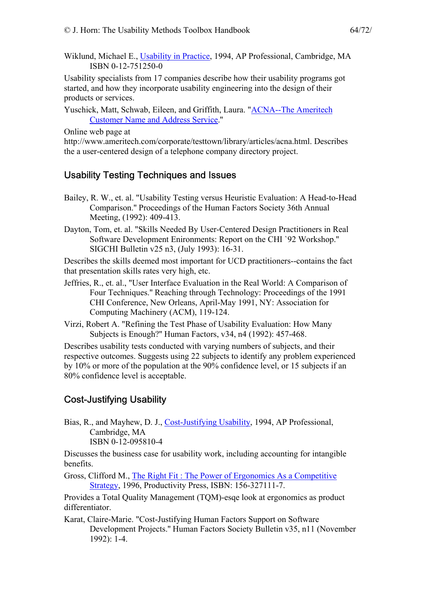Wiklund, Michael E., [Usability in Practice,](http://www.amazon.com/exec/obidos/ASIN/0127512500/theusabilitymeth) 1994, AP Professional, Cambridge, MA ISBN 0-12-751250-0

Usability specialists from 17 companies describe how their usability programs got started, and how they incorporate usability engineering into the design of their products or services.

Yuschick, Matt, Schwab, Eileen, and Griffith, Laura. ["ACNA--The Ameritech](http://www.ameritech.com/corporate/testtown/library/articles/acna.html)  [Customer Name and Address Service.](http://www.ameritech.com/corporate/testtown/library/articles/acna.html)''

Online web page at

http://www.ameritech.com/corporate/testtown/library/articles/acna.html. Describes the a user-centered design of a telephone company directory project.

## Usability Testing Techniques and Issues

- Bailey, R. W., et. al. "Usability Testing versus Heuristic Evaluation: A Head-to-Head Comparison.'' Proceedings of the Human Factors Society 36th Annual Meeting, (1992): 409-413.
- Dayton, Tom, et. al. "Skills Needed By User-Centered Design Practitioners in Real Software Development Enironments: Report on the CHI `92 Workshop.'' SIGCHI Bulletin v25 n3, (July 1993): 16-31.

Describes the skills deemed most important for UCD practitioners--contains the fact that presentation skills rates very high, etc.

- Jeffries, R., et. al., "User Interface Evaluation in the Real World: A Comparison of Four Techniques.'' Reaching through Technology: Proceedings of the 1991 CHI Conference, New Orleans, April-May 1991, NY: Association for Computing Machinery (ACM), 119-124.
- Virzi, Robert A. "Refining the Test Phase of Usability Evaluation: How Many Subjects is Enough?'' Human Factors, v34, n4 (1992): 457-468.

Describes usability tests conducted with varying numbers of subjects, and their respective outcomes. Suggests using 22 subjects to identify any problem experienced by 10% or more of the population at the 90% confidence level, or 15 subjects if an 80% confidence level is acceptable.

# Cost-Justifying Usability

Bias, R., and Mayhew, D. J., [Cost-Justifying Usability](http://www.amazon.com/exec/obidos/ASIN/0120958104/theusabilitymeth), 1994, AP Professional, Cambridge, MA ISBN 0-12-095810-4

Discusses the business case for usability work, including accounting for intangible benefits.

Gross, Clifford M., [The Right Fit : The Power of Ergonomics As a Competitive](http://www.amazon.com/exec/obidos/ASIN/1563271117/theusabilitymeth)  [Strategy,](http://www.amazon.com/exec/obidos/ASIN/1563271117/theusabilitymeth) 1996, Productivity Press, ISBN: 156-327111-7.

Provides a Total Quality Management (TQM)-esqe look at ergonomics as product differentiator.

Karat, Claire-Marie. "Cost-Justifying Human Factors Support on Software Development Projects.'' Human Factors Society Bulletin v35, n11 (November 1992): 1-4.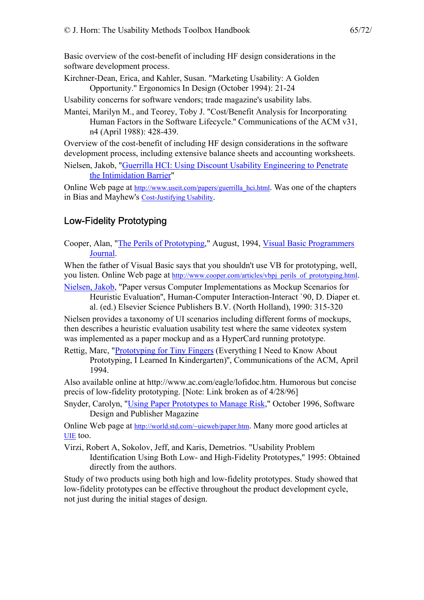Basic overview of the cost-benefit of including HF design considerations in the software development process.

Kirchner-Dean, Erica, and Kahler, Susan. "Marketing Usability: A Golden Opportunity.'' Ergonomics In Design (October 1994): 21-24

Usability concerns for software vendors; trade magazine's usability labs.

Mantei, Marilyn M., and Teorey, Toby J. "Cost/Benefit Analysis for Incorporating Human Factors in the Software Lifecycle.'' Communications of the ACM v31, n4 (April 1988): 428-439.

Overview of the cost-benefit of including HF design considerations in the software development process, including extensive balance sheets and accounting worksheets.

Nielsen, Jakob, ["Guerrilla HCI: Using Discount Usability Engineering to Penetrate](http://www.useit.com/papers/guerrilla_hci.html)  [the Intimidation Barrier"](http://www.useit.com/papers/guerrilla_hci.html)

Online Web page at [http://www.useit.com/papers/guerrilla\\_hci.html.](http://www.useit.com/papers/guerrilla_hci.html) Was one of the chapters in Bias and Mayhew's [Cost-Justifying Usability.](http://www.amazon.com/exec/obidos/ASIN/0120958104/theusabilitymeth)

## Low-Fidelity Prototyping

Cooper, Alan, ["The Perils of Prototyping](http://www.cooper.com/articles/vbpj_perils_of_prototyping.html)," August, 1994, [Visual Basic Programmers](http://www.windx.com/)  [Journal](http://www.windx.com/).

When the father of Visual Basic says that you shouldn't use VB for prototyping, well, you listen. Online Web page at [http://www.cooper.com/articles/vbpj\\_perils\\_of\\_prototyping.html.](http://www.cooper.com/articles/vbpj_perils_of_prototyping.html)

[Nielsen, Jakob,](http://www.sun.com/columns/jakob/) "Paper versus Computer Implementations as Mockup Scenarios for Heuristic Evaluation'', Human-Computer Interaction-Interact `90, D. Diaper et.

al. (ed.) Elsevier Science Publishers B.V. (North Holland), 1990: 315-320

Nielsen provides a taxonomy of UI scenarios including different forms of mockups, then describes a heuristic evaluation usability test where the same videotex system was implemented as a paper mockup and as a HyperCard running prototype.

Rettig, Marc, ["Prototyping for Tiny Fingers](http://www.ac.com/eagle/lofidoc.htm) (Everything I Need to Know About Prototyping, I Learned In Kindergarten)'', Communications of the ACM, April 1994.

Also available online at http://www.ac.com/eagle/lofidoc.htm. Humorous but concise precis of low-fidelity prototyping. [Note: Link broken as of 4/28/96]

Snyder, Carolyn, ["Using Paper Prototypes to Manage Risk,](http://world.std.com/~uieweb/paper.htm)" October 1996, Software Design and Publisher Magazine

Online Web page at [http://world.std.com/~uieweb/paper.htm.](http://world.std.com/~uieweb/paper.htm) Many more good articles at [UIE](http://world.std.com/~uieweb/) too.

Virzi, Robert A, Sokolov, Jeff, and Karis, Demetrios. "Usability Problem Identification Using Both Low- and High-Fidelity Prototypes,'' 1995: Obtained directly from the authors.

Study of two products using both high and low-fidelity prototypes. Study showed that low-fidelity prototypes can be effective throughout the product development cycle, not just during the initial stages of design.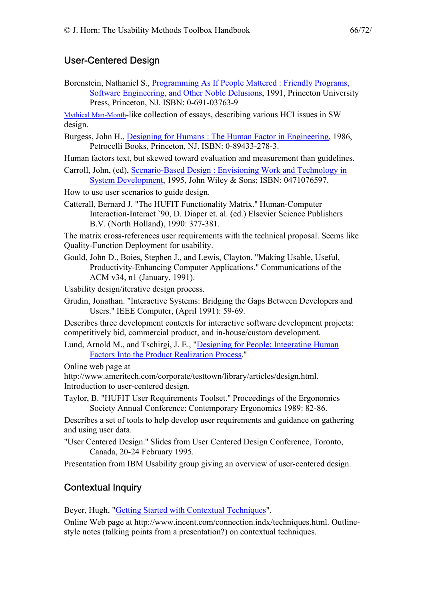### User-Centered Design

Borenstein, Nathaniel S., [Programming As If People Mattered : Friendly Programs,](http://www.amazon.com/exec/obidos/ASIN/0691037639/theusabilitymeth)  [Software Engineering, and Other Noble Delusions,](http://www.amazon.com/exec/obidos/ASIN/0691037639/theusabilitymeth) 1991, Princeton University Press, Princeton, NJ. ISBN: 0-691-03763-9

[Mythical Man-Month-](http://www.amazon.com/exec/obidos/ASIN/0201835959/theusabilitymeth)like collection of essays, describing various HCI issues in SW design.

Burgess, John H., [Designing for Humans : The Human Factor in Engineering](http://www.amazon.com/exec/obidos/ASIN/0894332783/theusabilitymeth), 1986, Petrocelli Books, Princeton, NJ. ISBN: 0-89433-278-3.

Human factors text, but skewed toward evaluation and measurement than guidelines.

Carroll, John, (ed), [Scenario-Based Design : Envisioning Work and Technology in](http://www.amazon.com/exec/obidos/ASIN/0471076597/theusabilitymeth)  [System Development,](http://www.amazon.com/exec/obidos/ASIN/0471076597/theusabilitymeth) 1995, John Wiley & Sons; ISBN: 0471076597.

How to use user scenarios to guide design.

Catterall, Bernard J. "The HUFIT Functionality Matrix.'' Human-Computer Interaction-Interact `90, D. Diaper et. al. (ed.) Elsevier Science Publishers B.V. (North Holland), 1990: 377-381.

The matrix cross-references user requirements with the technical proposal. Seems like Quality-Function Deployment for usability.

Gould, John D., Boies, Stephen J., and Lewis, Clayton. "Making Usable, Useful, Productivity-Enhancing Computer Applications.'' Communications of the ACM v34, n1 (January, 1991).

Usability design/iterative design process.

Grudin, Jonathan. "Interactive Systems: Bridging the Gaps Between Developers and Users.'' IEEE Computer, (April 1991): 59-69.

Describes three development contexts for interactive software development projects: competitively bid, commercial product, and in-house/custom development.

Lund, Arnold M., and Tschirgi, J. E., ["Designing for People: Integrating Human](http://www.ameritech.com/corporate/testtown/library/articles/design.html)  [Factors Into the Product Realization Process.](http://www.ameritech.com/corporate/testtown/library/articles/design.html)''

Online web page at

http://www.ameritech.com/corporate/testtown/library/articles/design.html. Introduction to user-centered design.

Taylor, B. "HUFIT User Requirements Toolset.'' Proceedings of the Ergonomics Society Annual Conference: Contemporary Ergonomics 1989: 82-86.

Describes a set of tools to help develop user requirements and guidance on gathering and using user data.

"User Centered Design.'' Slides from User Centered Design Conference, Toronto, Canada, 20-24 February 1995.

Presentation from IBM Usability group giving an overview of user-centered design.

#### Contextual Inquiry

Beyer, Hugh, ["Getting Started with Contextual Techniques](http://www.incent.com/connection.indx/techniques.html)".

Online Web page at http://www.incent.com/connection.indx/techniques.html. Outlinestyle notes (talking points from a presentation?) on contextual techniques.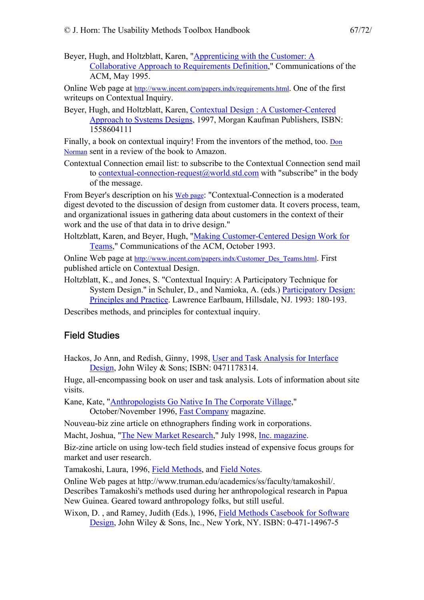Beyer, Hugh, and Holtzblatt, Karen, "[Apprenticing with the Customer: A](http://www.incent.com/papers.indx/requirements.html)  [Collaborative Approach to Requirements Definition,](http://www.incent.com/papers.indx/requirements.html)" Communications of the ACM, May 1995.

Online Web page at [http://www.incent.com/papers.indx/requirements.html.](http://www.incent.com/papers.indx/requirements.html) One of the first writeups on Contextual Inquiry.

Beyer, Hugh, and Holtzblatt, Karen, [Contextual Design : A Customer-Centered](http://www.amazon.com/exec/obidos/ASIN/1558604111/theusabilitymeth)  [Approach to Systems Designs](http://www.amazon.com/exec/obidos/ASIN/1558604111/theusabilitymeth), 1997, Morgan Kaufman Publishers, ISBN: 1558604111

Finally, a book on contextual inquiry! From the inventors of the method, too. [Don](http://jthom.best.vwh.net/usability/)  [Norman](http://jthom.best.vwh.net/usability/) sent in a review of the book to Amazon.

Contextual Connection email list: to subscribe to the Contextual Connection send mail to [contextual-connection-request@world.std.com](mailto:contextual-connection-request@world.std.com?subject=Sign Me Up!?body=subscribe) with "subscribe" in the body of the message.

From Beyer's description on his [Web page:](http://www.incent.com/connection.indx/techniques.html) "Contextual-Connection is a moderated digest devoted to the discussion of design from customer data. It covers process, team, and organizational issues in gathering data about customers in the context of their work and the use of that data in to drive design."

Holtzblatt, Karen, and Beyer, Hugh, "[Making Customer-Centered Design Work for](http://www.incent.com/papers.indx/Customer_Des_Teams.html)  [Teams,](http://www.incent.com/papers.indx/Customer_Des_Teams.html)" Communications of the ACM, October 1993.

Online Web page at [http://www.incent.com/papers.indx/Customer\\_Des\\_Teams.html.](http://www.incent.com/papers.indx/Customer_Des_Teams.html) First published article on Contextual Design.

Holtzblatt, K., and Jones, S. "Contextual Inquiry: A Participatory Technique for System Design.'' in Schuler, D., and Namioka, A. (eds.) [Participatory Design:](http://www.amazon.com/exec/obidos/ASIN/0805809511/theusabilitymeth)  [Principles and Practice.](http://www.amazon.com/exec/obidos/ASIN/0805809511/theusabilitymeth) Lawrence Earlbaum, Hillsdale, NJ. 1993: 180-193.

Describes methods, and principles for contextual inquiry.

#### Field Studies

Hackos, Jo Ann, and Redish, Ginny, 1998, [User and Task Analysis for Interface](http://www.amazon.com/exec/obidos/ASIN/0471178314/theusabilitymeth)  [Design,](http://www.amazon.com/exec/obidos/ASIN/0471178314/theusabilitymeth) John Wiley & Sons; ISBN: 0471178314.

Huge, all-encompassing book on user and task analysis. Lots of information about site visits.

Kane, Kate, "[Anthropologists Go Native In The Corporate Village,](http://www.fastcompany.com/online/05/anthro.html)"

October/November 1996, [Fast Company](http://www.fastcompany.com/) magazine.

Nouveau-biz zine article on ethnographers finding work in corporations.

Macht, Joshua, ["The New Market Research](http://www.inc.com/incmagazine/archives/07980861.html)," July 1998, [Inc. magazine](http://www.inc.com/).

Biz-zine article on using low-tech field studies instead of expensive focus groups for market and user research.

Tamakoshi, Laura, 1996, [Field Methods,](http://www.truman.edu/academics/ss/faculty/tamakoshil/methods.html) and [Field Notes.](http://www.truman.edu/academics/ss/faculty/tamakoshil/notes.html)

Online Web pages at http://www.truman.edu/academics/ss/faculty/tamakoshil/. Describes Tamakoshi's methods used during her anthropological research in Papua New Guinea. Geared toward anthropology folks, but still useful.

Wixon, D. , and Ramey, Judith (Eds.), 1996, [Field Methods Casebook for Software](http://www.amazon.com/exec/obidos/ASIN/0471149675/theusabilitymeth)  [Design,](http://www.amazon.com/exec/obidos/ASIN/0471149675/theusabilitymeth) John Wiley & Sons, Inc., New York, NY. ISBN: 0-471-14967-5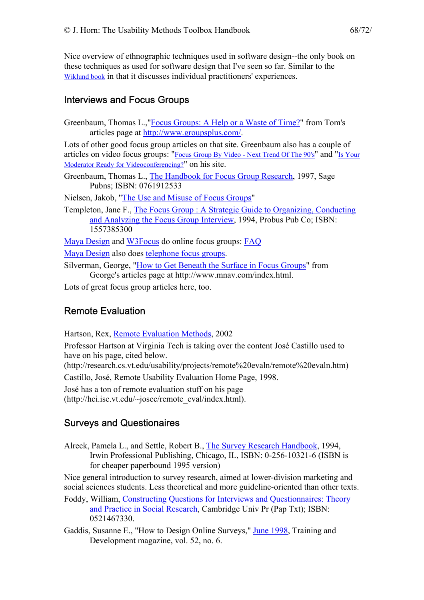Nice overview of ethnographic techniques used in software design--the only book on these techniques as used for software design that I've seen so far. Similar to the [Wiklund book](http://jthom.best.vwh.net/usability/) in that it discusses individual practitioners' experiences.

### Interviews and Focus Groups

Greenbaum, Thomas L.,"[Focus Groups: A Help or a Waste of Time?](http://www.groupsplus.com/pmt0797.htm)" from Tom's articles page at <http://www.groupsplus.com/>.

Lots of other good focus group articles on that site. Greenbaum also has a couple of articles on video focus groups: ["Focus Group By Video - Next Trend Of The 90's"](http://www.groupsplus.com/pmt0797.htm) and "[Is Your](http://www.groupsplus.com/modready.htm)  [Moderator Ready for Videoconferencing?"](http://www.groupsplus.com/modready.htm) on his site.

Greenbaum, Thomas L., [The Handbook for Focus Group Research,](http://www.amazon.com/exec/obidos/ASIN/0761912533/theusabilitymeth/) 1997, Sage Pubns; ISBN: 0761912533

Nielsen, Jakob, ["The Use and Misuse of Focus Groups"](http://www.useit.com/papers/focusgroups.html)

Templeton, Jane F., [The Focus Group : A Strategic Guide to Organizing, Conducting](http://www.amazon.com/exec/obidos/ASIN/1557385300/theusabilitymeth/)  [and Analyzing the Focus Group Interview](http://www.amazon.com/exec/obidos/ASIN/1557385300/theusabilitymeth/), 1994, Probus Pub Co; ISBN: 1557385300

[Maya Design](http://www.maya-group.com/) and [W3Focus](http://www.w3focus.com/) do online focus groups: [FAQ](http://www.w3focus.com/eshare/files/faq.html) 

[Maya Design](http://www.maya-group.com/) also does [telephone focus groups.](http://www.maya-group.com/tele.html)

Silverman, George, ["How to Get Beneath the Surface in Focus Groups](http://www.mnav.com/bensurf.htm)" from George's articles page at http://www.mnav.com/index.html.

Lots of great focus group articles here, too.

## Remote Evaluation

Hartson, Rex, [Remote Evaluation Methods,](http://research.cs.vt.edu/usability/projects/remote evaln/remote evaln.htm) 2002

Professor Hartson at Virginia Tech is taking over the content José Castillo used to have on his page, cited below.

(http://research.cs.vt.edu/usability/projects/remote%20evaln/remote%20evaln.htm)

Castillo, José, Remote Usability Evaluation Home Page, 1998.

José has a ton of remote evaluation stuff on his page (http://hci.ise.vt.edu/~josec/remote\_eval/index.html).

## Surveys and Questionaires

Alreck, Pamela L., and Settle, Robert B., [The Survey Research Handbook](http://www.amazon.com/exec/obidos/ASIN/0786303581/theusabilitymeth), 1994, Irwin Professional Publishing, Chicago, IL, ISBN: 0-256-10321-6 (ISBN is for cheaper paperbound 1995 version)

Nice general introduction to survey research, aimed at lower-division marketing and social sciences students. Less theoretical and more guideline-oriented than other texts.

- Foddy, William, [Constructing Questions for Interviews and Questionnaires: Theory](http://www.amazon.com/exec/obidos/ASIN/0521467330/theusabilitymeth)  [and Practice in Social Research](http://www.amazon.com/exec/obidos/ASIN/0521467330/theusabilitymeth), Cambridge Univ Pr (Pap Txt); ISBN: 0521467330.
- Gaddis, Susanne E., "How to Design Online Surveys," [June 1998](http://www.astd.org/virtual_community/td_magazine/td_0698_contents.html), Training and Development magazine, vol. 52, no. 6.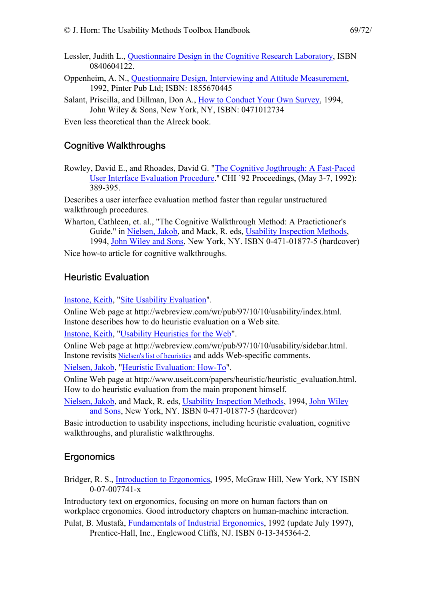- Lessler, Judith L., [Questionnaire Design in the Cognitive Research Laboratory](http://www.amazon.com/exec/obidos/ASIN/0840604122/theusabilitymeth), ISBN 0840604122.
- Oppenheim, A. N., [Questionnaire Design, Interviewing and Attitude Measurement,](http://www.amazon.com/exec/obidos/ASIN/1855670445/theusabilitymeth) 1992, Pinter Pub Ltd; ISBN: 1855670445
- Salant, Priscilla, and Dillman, Don A., [How to Conduct Your Own Survey](http://www.amazon.com/exec/obidos/ASIN/0471012734/theusabilitymeth), 1994, John Wiley & Sons, New York, NY, ISBN: 0471012734

Even less theoretical than the Alreck book.

### Cognitive Walkthroughs

Rowley, David E., and Rhoades, David G. ["The Cognitive Jogthrough: A Fast-Paced](http://www.acm.org/pubs/citations/proceedings/chi/142750/p389-rowley/)  [User Interface Evaluation Procedure.](http://www.acm.org/pubs/citations/proceedings/chi/142750/p389-rowley/)'' CHI `92 Proceedings, (May 3-7, 1992): 389-395.

Describes a user interface evaluation method faster than regular unstructured walkthrough procedures.

Wharton, Cathleen, et. al., "The Cognitive Walkthrough Method: A Practictioner's Guide." in [Nielsen, Jakob](http://www.sun.com/columns/jakob/), and Mack, R. eds, [Usability Inspection Methods,](http://www.amazon.com/exec/obidos/ASIN/0471018775/theusabilitymeth) 1994, [John Wiley and Sons,](http://www.wiley.com/) New York, NY. ISBN 0-471-01877-5 (hardcover)

Nice how-to article for cognitive walkthroughs.

#### Heuristic Evaluation

[Instone, Keith,](http://webreview.com/universal/staff/contributors.html) "[Site Usability Evaluation"](http://webreview.com/wr/pub/97/10/10/usability/index.html).

Online Web page at http://webreview.com/wr/pub/97/10/10/usability/index.html. Instone describes how to do heuristic evaluation on a Web site.

[Instone, Keith,](http://webreview.com/universal/staff/contributors.html) "[Usability Heuristics for the Web"](http://webreview.com/wr/pub/97/10/10/usability/sidebar.html).

Online Web page at http://webreview.com/wr/pub/97/10/10/usability/sidebar.html. Instone revisits [Nielsen's list of heuristics](http://jthom.best.vwh.net/usability/) and adds Web-specific comments.

[Nielsen, Jakob,](http://www.sun.com/columns/jakob/) ["Heuristic Evaluation: How-To](http://www.useit.com/papers/heuristic/heuristic_evaluation.html)".

Online Web page at http://www.useit.com/papers/heuristic/heuristic\_evaluation.html. How to do heuristic evaluation from the main proponent himself.

[Nielsen, Jakob,](http://www.sun.com/columns/jakob/) and Mack, R. eds, [Usability Inspection Methods](http://www.amazon.com/exec/obidos/ASIN/0471018775/theusabilitymeth), 1994, [John Wiley](http://www.wiley.com/)  [and Sons,](http://www.wiley.com/) New York, NY. ISBN 0-471-01877-5 (hardcover)

Basic introduction to usability inspections, including heuristic evaluation, cognitive walkthroughs, and pluralistic walkthroughs.

#### **Ergonomics**

Bridger, R. S., [Introduction to Ergonomics,](http://www.amazon.com/exec/obidos/ASIN/007007741X/theusabilitymeth) 1995, McGraw Hill, New York, NY ISBN 0-07-007741-x

Introductory text on ergonomics, focusing on more on human factors than on workplace ergonomics. Good introductory chapters on human-machine interaction. Pulat, B. Mustafa, [Fundamentals of Industrial Ergonomics](http://www.amazon.com/exec/obidos/ASIN/0881339490/theusabilitymeth), 1992 (update July 1997),

Prentice-Hall, Inc., Englewood Cliffs, NJ. ISBN 0-13-345364-2.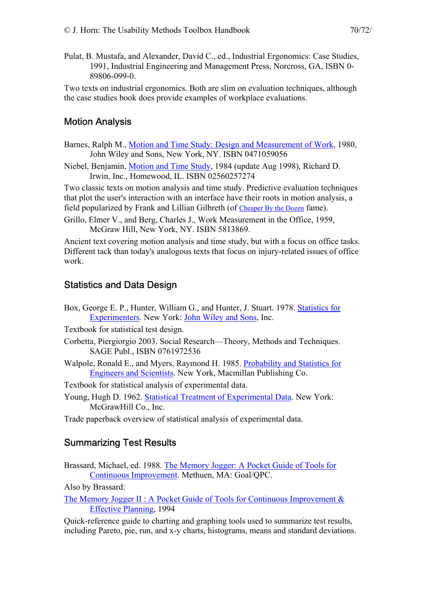- 
- Pulat, B. Mustafa, and Alexander, David C., ed., Industrial Ergonomics: Case Studies, 1991, Industrial Engineering and Management Press, Norcross, GA, ISBN 0- 89806-099-0.

Two texts on industrial ergonomics. Both are slim on evaluation techniques, although the case studies book does provide examples of workplace evaluations.

## Motion Analysis

- Barnes, Ralph M., [Motion and Time Study: Design and Measurement of Work,](http://www.amazon.com/exec/obidos/ASIN/0471059056/theusabilitymeth) 1980, John Wiley and Sons, New York, NY. ISBN 0471059056
- Niebel, Benjamin, [Motion and Time Study,](http://www.amazon.com/exec/obidos/ASIN/0256195072/theusabilitymeth) 1984 (update Aug 1998), Richard D. Irwin, Inc., Homewood, IL. ISBN 02560257274

Two classic texts on motion analysis and time study. Predictive evaluation techniques that plot the user's interaction with an interface have their roots in motion analysis, a field popularized by Frank and Lillian Gilbreth (of [Cheaper By the Dozen](http://www.amazon.com/exec/obidos/ASIN/0553272500/theusabilitymeth) fame).

Grillo, Elmer V., and Berg, Charles J., Work Measurement in the Office, 1959, McGraw Hill, New York, NY. ISBN 5813869.

Ancient text covering motion analysis and time study, but with a focus on office tasks. Different tack than today's analogous texts that focus on injury-related issues of office work.

## Statistics and Data Design

- Box, George E. P., Hunter, William G., and Hunter, J. Stuart. 1978. [Statistics for](http://www.amazon.com/exec/obidos/ASIN/0471093157/theusabilitymeth)  [Experimenters.](http://www.amazon.com/exec/obidos/ASIN/0471093157/theusabilitymeth) New York: [John Wiley and Sons](http://www.wiley.com/), Inc.
- Textbook for statistical test design.
- Corbetta, Piergiorgio 2003. Social Research—Theory, Methods and Techniques. SAGE Publ., ISBN 0761972536
- Walpole, Ronald E., and Myers, Raymond H. 1985. [Probability and Statistics for](http://www.amazon.com/exec/obidos/ASIN/0138402086/theusabilitymeth)  [Engineers and Scientists](http://www.amazon.com/exec/obidos/ASIN/0138402086/theusabilitymeth). New York, Macmillan Publishing Co.

Textbook for statistical analysis of experimental data.

Young, Hugh D. 1962. [Statistical Treatment of Experimental Data.](http://www.amazon.com/exec/obidos/ASIN/088133913X/theusabilitymeth) New York: McGrawHill Co., Inc.

Trade paperback overview of statistical analysis of experimental data.

## Summarizing Test Results

Brassard, Michael, ed. 1988. [The Memory Jogger: A Pocket Guide of Tools for](http://www.amazon.com/exec/obidos/ASIN/1879364034/theusabilitymeth)  [Continuous Improvement.](http://www.amazon.com/exec/obidos/ASIN/1879364034/theusabilitymeth) Methuen, MA: Goal/QPC.

Also by Brassard:

The Memory Jogger II : A Pocket Guide of Tools for Continuous Improvement  $\&$ [Effective Planning,](http://www.amazon.com/exec/obidos/ASIN/1879364441/theusabilitymeth) 1994

Quick-reference guide to charting and graphing tools used to summarize test results, including Pareto, pie, run, and x-y charts, histograms, means and standard deviations.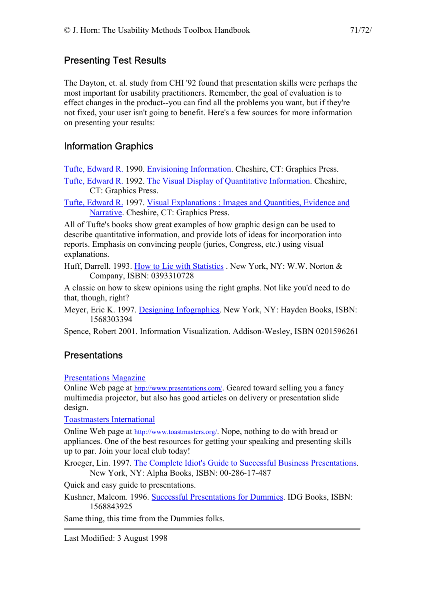#### Presenting Test Results

The Dayton, et. al. study from CHI '92 found that presentation skills were perhaps the most important for usability practitioners. Remember, the goal of evaluation is to effect changes in the product--you can find all the problems you want, but if they're not fixed, your user isn't going to benefit. Here's a few sources for more information on presenting your results:

## Information Graphics

[Tufte, Edward R.](http://www.cs.yale.edu/HTML/YALE/CS/Brochure/faculty/tufte.html) 1990. [Envisioning Information.](http://www.amazon.com/exec/obidos/ASIN/0961392118/theusabilitymeth) Cheshire, CT: Graphics Press.

[Tufte, Edward R.](http://www.cs.yale.edu/HTML/YALE/CS/Brochure/faculty/tufte.html) 1992. [The Visual Display of Quantitative Information](http://www.amazon.com/exec/obidos/ASIN/096139210X/theusabilitymeth). Cheshire, CT: Graphics Press.

[Tufte, Edward R.](http://www.cs.yale.edu/HTML/YALE/CS/Brochure/faculty/tufte.html) 1997. [Visual Explanations : Images and Quantities, Evidence and](http://www.amazon.com/exec/obidos/ASIN/0961392126/theusabilitymeth)  [Narrative](http://www.amazon.com/exec/obidos/ASIN/0961392126/theusabilitymeth). Cheshire, CT: Graphics Press.

All of Tufte's books show great examples of how graphic design can be used to describe quantitative information, and provide lots of ideas for incorporation into reports. Emphasis on convincing people (juries, Congress, etc.) using visual explanations.

Huff, Darrell. 1993. [How to Lie with Statistics](http://www.amazon.com/exec/obidos/ASIN/0393310728/theusabilitymeth) . New York, NY: W.W. Norton & Company, ISBN: 0393310728

A classic on how to skew opinions using the right graphs. Not like you'd need to do that, though, right?

Meyer, Eric K. 1997. [Designing Infographics.](http://www.amazon.com/exec/obidos/ASIN/1568303394/theusabilitymeth) New York, NY: Hayden Books, ISBN: 1568303394

Spence, Robert 2001. Information Visualization. Addison-Wesley, ISBN 0201596261

## **Presentations**

#### [Presentations Magazine](http://www.presentations.com/)

Online Web page at [http://www.presentations.com/.](http://www.presentations.com/) Geared toward selling you a fancy multimedia projector, but also has good articles on delivery or presentation slide design.

[Toastmasters International](http://www.toastmasters.org/) 

Online Web page at [http://www.toastmasters.org/.](http://www.toastmasters.org/) Nope, nothing to do with bread or appliances. One of the best resources for getting your speaking and presenting skills up to par. Join your local club today!

Kroeger, Lin. 1997. [The Complete Idiot's Guide to Successful Business Presentations](http://www.amazon.com/exec/obidos/ASIN/0028617487/theusabilitymeth/). New York, NY: Alpha Books, ISBN: 00-286-17-487

Quick and easy guide to presentations.

Kushner, Malcom. 1996. [Successful Presentations for Dummies.](http://www.amazon.com/exec/obidos/ASIN/1568843925/theusabilitymeth/) IDG Books, ISBN: 1568843925

Same thing, this time from the Dummies folks.

Last Modified: 3 August 1998